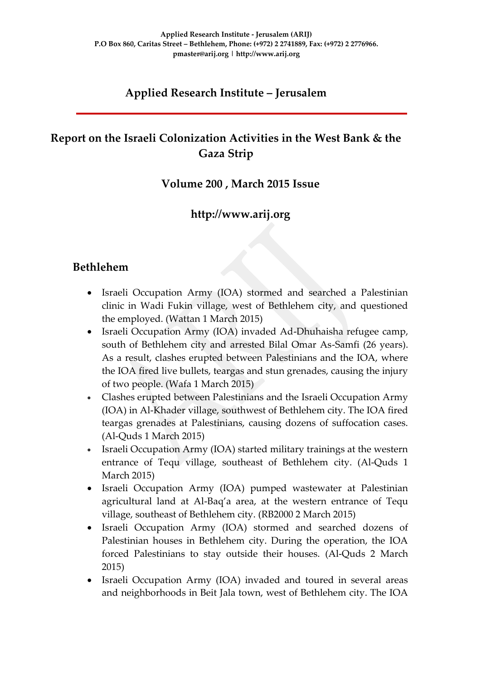## **Applied Research Institute – Jerusalem**

## **Report on the Israeli Colonization Activities in the West Bank & the Gaza Strip**

### **Volume 200 , March 2015 Issue**

## **http://www.arij.org**

### **Bethlehem**

- Israeli Occupation Army (IOA) stormed and searched a Palestinian clinic in Wadi Fukin village, west of Bethlehem city, and questioned the employed. (Wattan 1 March 2015)
- Israeli Occupation Army (IOA) invaded Ad-Dhuhaisha refugee camp, south of Bethlehem city and arrested Bilal Omar As-Samfi (26 years). As a result, clashes erupted between Palestinians and the IOA, where the IOA fired live bullets, teargas and stun grenades, causing the injury of two people. (Wafa 1 March 2015)
- Clashes erupted between Palestinians and the Israeli Occupation Army (IOA) in Al-Khader village, southwest of Bethlehem city. The IOA fired teargas grenades at Palestinians, causing dozens of suffocation cases. (Al-Quds 1 March 2015)
- Israeli Occupation Army (IOA) started military trainings at the western entrance of Tequ village, southeast of Bethlehem city. (Al-Quds 1 March 2015)
- Israeli Occupation Army (IOA) pumped wastewater at Palestinian agricultural land at Al-Baq'a area, at the western entrance of Tequ village, southeast of Bethlehem city. (RB2000 2 March 2015)
- Israeli Occupation Army (IOA) stormed and searched dozens of Palestinian houses in Bethlehem city. During the operation, the IOA forced Palestinians to stay outside their houses. (Al-Quds 2 March 2015)
- Israeli Occupation Army (IOA) invaded and toured in several areas and neighborhoods in Beit Jala town, west of Bethlehem city. The IOA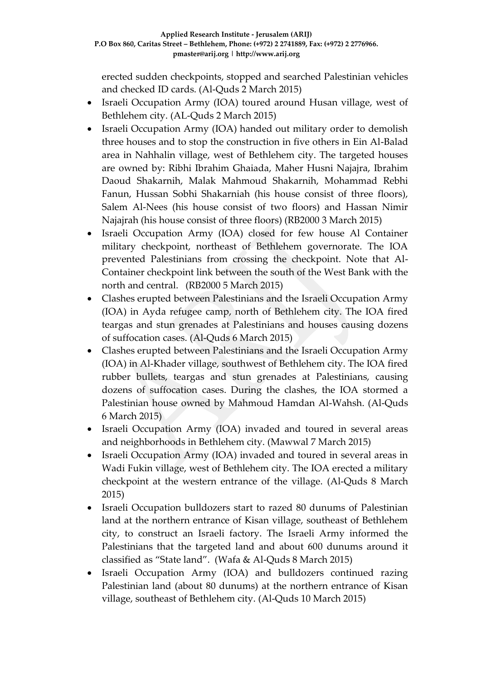erected sudden checkpoints, stopped and searched Palestinian vehicles and checked ID cards. (Al-Quds 2 March 2015)

- Israeli Occupation Army (IOA) toured around Husan village, west of Bethlehem city. (AL-Quds 2 March 2015)
- Israeli Occupation Army (IOA) handed out military order to demolish three houses and to stop the construction in five others in Ein Al-Balad area in Nahhalin village, west of Bethlehem city. The targeted houses are owned by: Ribhi Ibrahim Ghaiada, Maher Husni Najajra, Ibrahim Daoud Shakarnih, Malak Mahmoud Shakarnih, Mohammad Rebhi Fanun, Hussan Sobhi Shakarniah (his house consist of three floors), Salem Al-Nees (his house consist of two floors) and Hassan Nimir Najajrah (his house consist of three floors) (RB2000 3 March 2015)
- Israeli Occupation Army (IOA) closed for few house Al Container military checkpoint, northeast of Bethlehem governorate. The IOA prevented Palestinians from crossing the checkpoint. Note that Al-Container checkpoint link between the south of the West Bank with the north and central. (RB2000 5 March 2015)
- Clashes erupted between Palestinians and the Israeli Occupation Army (IOA) in Ayda refugee camp, north of Bethlehem city. The IOA fired teargas and stun grenades at Palestinians and houses causing dozens of suffocation cases. (Al-Quds 6 March 2015)
- Clashes erupted between Palestinians and the Israeli Occupation Army (IOA) in Al-Khader village, southwest of Bethlehem city. The IOA fired rubber bullets, teargas and stun grenades at Palestinians, causing dozens of suffocation cases. During the clashes, the IOA stormed a Palestinian house owned by Mahmoud Hamdan Al-Wahsh. (Al-Quds 6 March 2015)
- Israeli Occupation Army (IOA) invaded and toured in several areas and neighborhoods in Bethlehem city. (Mawwal 7 March 2015)
- Israeli Occupation Army (IOA) invaded and toured in several areas in Wadi Fukin village, west of Bethlehem city. The IOA erected a military checkpoint at the western entrance of the village. (Al-Quds 8 March 2015)
- Israeli Occupation bulldozers start to razed 80 dunums of Palestinian land at the northern entrance of Kisan village, southeast of Bethlehem city, to construct an Israeli factory. The Israeli Army informed the Palestinians that the targeted land and about 600 dunums around it classified as "State land". (Wafa & Al-Quds 8 March 2015)
- Israeli Occupation Army (IOA) and bulldozers continued razing Palestinian land (about 80 dunums) at the northern entrance of Kisan village, southeast of Bethlehem city. (Al-Quds 10 March 2015)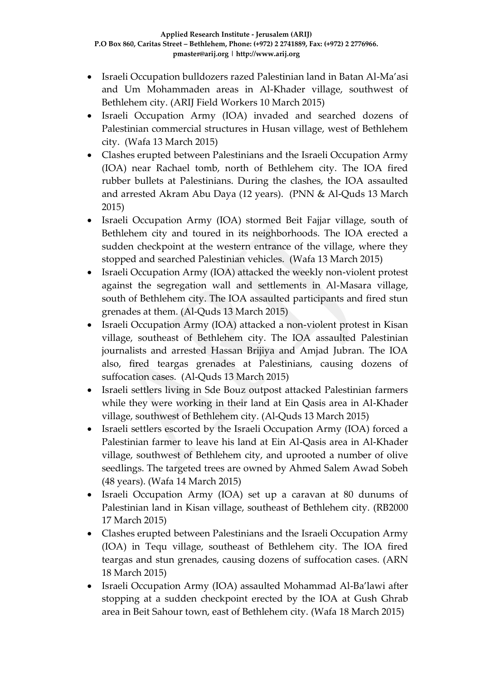- Israeli Occupation bulldozers razed Palestinian land in Batan Al-Ma'asi and Um Mohammaden areas in Al-Khader village, southwest of Bethlehem city. (ARIJ Field Workers 10 March 2015)
- Israeli Occupation Army (IOA) invaded and searched dozens of Palestinian commercial structures in Husan village, west of Bethlehem city. (Wafa 13 March 2015)
- Clashes erupted between Palestinians and the Israeli Occupation Army (IOA) near Rachael tomb, north of Bethlehem city. The IOA fired rubber bullets at Palestinians. During the clashes, the IOA assaulted and arrested Akram Abu Daya (12 years). (PNN & Al-Quds 13 March 2015)
- Israeli Occupation Army (IOA) stormed Beit Fajjar village, south of Bethlehem city and toured in its neighborhoods. The IOA erected a sudden checkpoint at the western entrance of the village, where they stopped and searched Palestinian vehicles. (Wafa 13 March 2015)
- Israeli Occupation Army (IOA) attacked the weekly non-violent protest against the segregation wall and settlements in Al-Masara village, south of Bethlehem city. The IOA assaulted participants and fired stun grenades at them. (Al-Quds 13 March 2015)
- Israeli Occupation Army (IOA) attacked a non-violent protest in Kisan village, southeast of Bethlehem city. The IOA assaulted Palestinian journalists and arrested Hassan Brijiya and Amjad Jubran. The IOA also, fired teargas grenades at Palestinians, causing dozens of suffocation cases. (Al-Quds 13 March 2015)
- Israeli settlers living in Sde Bouz outpost attacked Palestinian farmers while they were working in their land at Ein Qasis area in Al-Khader village, southwest of Bethlehem city. (Al-Quds 13 March 2015)
- Israeli settlers escorted by the Israeli Occupation Army (IOA) forced a Palestinian farmer to leave his land at Ein Al-Qasis area in Al-Khader village, southwest of Bethlehem city, and uprooted a number of olive seedlings. The targeted trees are owned by Ahmed Salem Awad Sobeh (48 years). (Wafa 14 March 2015)
- Israeli Occupation Army (IOA) set up a caravan at 80 dunums of Palestinian land in Kisan village, southeast of Bethlehem city. (RB2000 17 March 2015)
- Clashes erupted between Palestinians and the Israeli Occupation Army (IOA) in Tequ village, southeast of Bethlehem city. The IOA fired teargas and stun grenades, causing dozens of suffocation cases. (ARN 18 March 2015)
- Israeli Occupation Army (IOA) assaulted Mohammad Al-Ba'lawi after stopping at a sudden checkpoint erected by the IOA at Gush Ghrab area in Beit Sahour town, east of Bethlehem city. (Wafa 18 March 2015)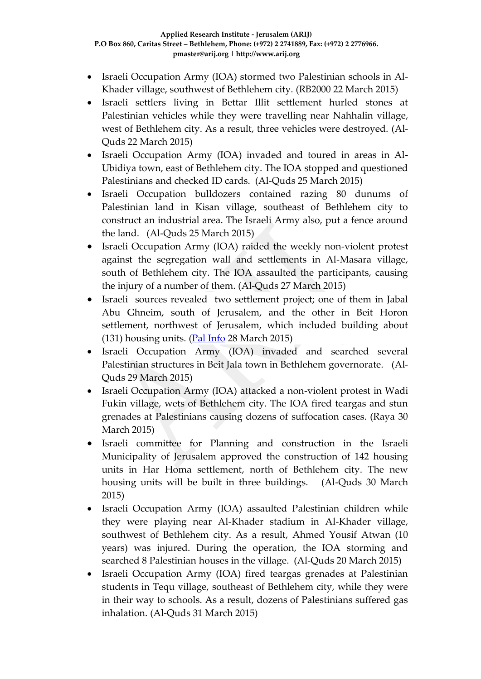- Israeli Occupation Army (IOA) stormed two Palestinian schools in Al-Khader village, southwest of Bethlehem city. (RB2000 22 March 2015)
- Israeli settlers living in Bettar Illit settlement hurled stones at Palestinian vehicles while they were travelling near Nahhalin village, west of Bethlehem city. As a result, three vehicles were destroyed. (Al-Quds 22 March 2015)
- Israeli Occupation Army (IOA) invaded and toured in areas in Al-Ubidiya town, east of Bethlehem city. The IOA stopped and questioned Palestinians and checked ID cards. (Al-Quds 25 March 2015)
- Israeli Occupation bulldozers contained razing 80 dunums of Palestinian land in Kisan village, southeast of Bethlehem city to construct an industrial area. The Israeli Army also, put a fence around the land. (Al-Quds 25 March 2015)
- Israeli Occupation Army (IOA) raided the weekly non-violent protest against the segregation wall and settlements in Al-Masara village, south of Bethlehem city. The IOA assaulted the participants, causing the injury of a number of them. (Al-Quds 27 March 2015)
- Israeli sources revealed two settlement project; one of them in Jabal Abu Ghneim, south of Jerusalem, and the other in Beit Horon settlement, northwest of Jerusalem, which included building about (131) housing units. [\(Pal Info](https://www.palinfo.com/site/pic/newsdetails.aspx?itemid=174179) 28 March 2015)
- Israeli Occupation Army (IOA) invaded and searched several Palestinian structures in Beit Jala town in Bethlehem governorate. (Al-Quds 29 March 2015)
- Israeli Occupation Army (IOA) attacked a non-violent protest in Wadi Fukin village, wets of Bethlehem city. The IOA fired teargas and stun grenades at Palestinians causing dozens of suffocation cases. (Raya 30 March 2015)
- Israeli committee for Planning and construction in the Israeli Municipality of Jerusalem approved the construction of 142 housing units in Har Homa settlement, north of Bethlehem city. The new housing units will be built in three buildings. (Al-Quds 30 March 2015)
- Israeli Occupation Army (IOA) assaulted Palestinian children while they were playing near Al-Khader stadium in Al-Khader village, southwest of Bethlehem city. As a result, Ahmed Yousif Atwan (10 years) was injured. During the operation, the IOA storming and searched 8 Palestinian houses in the village. (Al-Quds 20 March 2015)
- Israeli Occupation Army (IOA) fired teargas grenades at Palestinian students in Tequ village, southeast of Bethlehem city, while they were in their way to schools. As a result, dozens of Palestinians suffered gas inhalation. (Al-Quds 31 March 2015)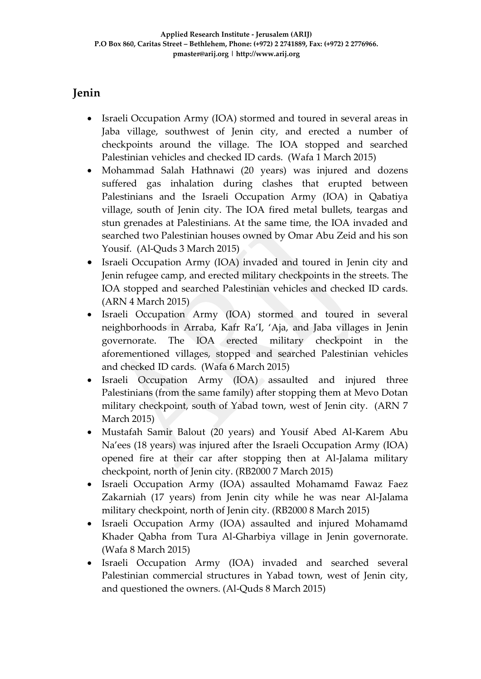# **Jenin**

- Israeli Occupation Army (IOA) stormed and toured in several areas in Jaba village, southwest of Jenin city, and erected a number of checkpoints around the village. The IOA stopped and searched Palestinian vehicles and checked ID cards. (Wafa 1 March 2015)
- Mohammad Salah Hathnawi (20 years) was injured and dozens suffered gas inhalation during clashes that erupted between Palestinians and the Israeli Occupation Army (IOA) in Qabatiya village, south of Jenin city. The IOA fired metal bullets, teargas and stun grenades at Palestinians. At the same time, the IOA invaded and searched two Palestinian houses owned by Omar Abu Zeid and his son Yousif. (Al-Quds 3 March 2015)
- Israeli Occupation Army (IOA) invaded and toured in Jenin city and Jenin refugee camp, and erected military checkpoints in the streets. The IOA stopped and searched Palestinian vehicles and checked ID cards. (ARN 4 March 2015)
- Israeli Occupation Army (IOA) stormed and toured in several neighborhoods in Arraba, Kafr Ra'I, 'Aja, and Jaba villages in Jenin governorate. The IOA erected military checkpoint in the aforementioned villages, stopped and searched Palestinian vehicles and checked ID cards. (Wafa 6 March 2015)
- Israeli Occupation Army (IOA) assaulted and injured three Palestinians (from the same family) after stopping them at Mevo Dotan military checkpoint, south of Yabad town, west of Jenin city. (ARN 7 March 2015)
- Mustafah Samir Balout (20 years) and Yousif Abed Al-Karem Abu Na'ees (18 years) was injured after the Israeli Occupation Army (IOA) opened fire at their car after stopping then at Al-Jalama military checkpoint, north of Jenin city. (RB2000 7 March 2015)
- Israeli Occupation Army (IOA) assaulted Mohamamd Fawaz Faez Zakarniah (17 years) from Jenin city while he was near Al-Jalama military checkpoint, north of Jenin city. (RB2000 8 March 2015)
- Israeli Occupation Army (IOA) assaulted and injured Mohamamd Khader Qabha from Tura Al-Gharbiya village in Jenin governorate. (Wafa 8 March 2015)
- Israeli Occupation Army (IOA) invaded and searched several Palestinian commercial structures in Yabad town, west of Jenin city, and questioned the owners. (Al-Quds 8 March 2015)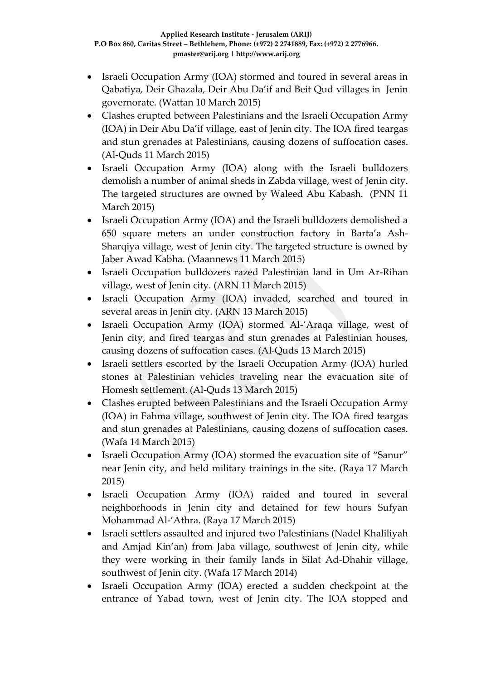- Israeli Occupation Army (IOA) stormed and toured in several areas in Qabatiya, Deir Ghazala, Deir Abu Da'if and Beit Qud villages in Jenin governorate. (Wattan 10 March 2015)
- Clashes erupted between Palestinians and the Israeli Occupation Army (IOA) in Deir Abu Da'if village, east of Jenin city. The IOA fired teargas and stun grenades at Palestinians, causing dozens of suffocation cases. (Al-Quds 11 March 2015)
- Israeli Occupation Army (IOA) along with the Israeli bulldozers demolish a number of animal sheds in Zabda village, west of Jenin city. The targeted structures are owned by Waleed Abu Kabash. (PNN 11 March 2015)
- Israeli Occupation Army (IOA) and the Israeli bulldozers demolished a 650 square meters an under construction factory in Barta'a Ash-Sharqiya village, west of Jenin city. The targeted structure is owned by Jaber Awad Kabha. (Maannews 11 March 2015)
- Israeli Occupation bulldozers razed Palestinian land in Um Ar-Rihan village, west of Jenin city. (ARN 11 March 2015)
- Israeli Occupation Army (IOA) invaded, searched and toured in several areas in Jenin city. (ARN 13 March 2015)
- Israeli Occupation Army (IOA) stormed Al-'Araqa village, west of Jenin city, and fired teargas and stun grenades at Palestinian houses, causing dozens of suffocation cases. (Al-Quds 13 March 2015)
- Israeli settlers escorted by the Israeli Occupation Army (IOA) hurled stones at Palestinian vehicles traveling near the evacuation site of Homesh settlement. (Al-Quds 13 March 2015)
- Clashes erupted between Palestinians and the Israeli Occupation Army (IOA) in Fahma village, southwest of Jenin city. The IOA fired teargas and stun grenades at Palestinians, causing dozens of suffocation cases. (Wafa 14 March 2015)
- Israeli Occupation Army (IOA) stormed the evacuation site of "Sanur" near Jenin city, and held military trainings in the site. (Raya 17 March 2015)
- Israeli Occupation Army (IOA) raided and toured in several neighborhoods in Jenin city and detained for few hours Sufyan Mohammad Al-'Athra. (Raya 17 March 2015)
- Israeli settlers assaulted and injured two Palestinians (Nadel Khaliliyah and Amjad Kin'an) from Jaba village, southwest of Jenin city, while they were working in their family lands in Silat Ad-Dhahir village, southwest of Jenin city. (Wafa 17 March 2014)
- Israeli Occupation Army (IOA) erected a sudden checkpoint at the entrance of Yabad town, west of Jenin city. The IOA stopped and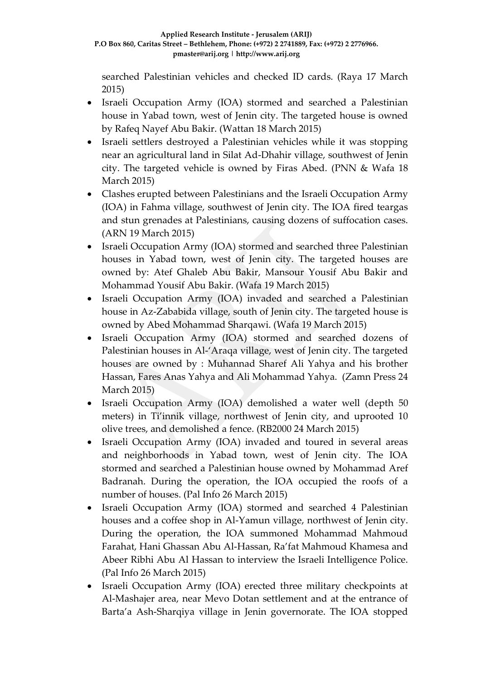searched Palestinian vehicles and checked ID cards. (Raya 17 March 2015)

- Israeli Occupation Army (IOA) stormed and searched a Palestinian house in Yabad town, west of Jenin city. The targeted house is owned by Rafeq Nayef Abu Bakir. (Wattan 18 March 2015)
- Israeli settlers destroyed a Palestinian vehicles while it was stopping near an agricultural land in Silat Ad-Dhahir village, southwest of Jenin city. The targeted vehicle is owned by Firas Abed. (PNN & Wafa 18 March 2015)
- Clashes erupted between Palestinians and the Israeli Occupation Army (IOA) in Fahma village, southwest of Jenin city. The IOA fired teargas and stun grenades at Palestinians, causing dozens of suffocation cases. (ARN 19 March 2015)
- Israeli Occupation Army (IOA) stormed and searched three Palestinian houses in Yabad town, west of Jenin city. The targeted houses are owned by: Atef Ghaleb Abu Bakir, Mansour Yousif Abu Bakir and Mohammad Yousif Abu Bakir. (Wafa 19 March 2015)
- Israeli Occupation Army (IOA) invaded and searched a Palestinian house in Az-Zababida village, south of Jenin city. The targeted house is owned by Abed Mohammad Sharqawi. (Wafa 19 March 2015)
- Israeli Occupation Army (IOA) stormed and searched dozens of Palestinian houses in Al-'Araqa village, west of Jenin city. The targeted houses are owned by : Muhannad Sharef Ali Yahya and his brother Hassan, Fares Anas Yahya and Ali Mohammad Yahya. (Zamn Press 24 March 2015)
- Israeli Occupation Army (IOA) demolished a water well (depth 50 meters) in Ti'innik village, northwest of Jenin city, and uprooted 10 olive trees, and demolished a fence. (RB2000 24 March 2015)
- Israeli Occupation Army (IOA) invaded and toured in several areas and neighborhoods in Yabad town, west of Jenin city. The IOA stormed and searched a Palestinian house owned by Mohammad Aref Badranah. During the operation, the IOA occupied the roofs of a number of houses. (Pal Info 26 March 2015)
- Israeli Occupation Army (IOA) stormed and searched 4 Palestinian houses and a coffee shop in Al-Yamun village, northwest of Jenin city. During the operation, the IOA summoned Mohammad Mahmoud Farahat, Hani Ghassan Abu Al-Hassan, Ra'fat Mahmoud Khamesa and Abeer Ribhi Abu Al Hassan to interview the Israeli Intelligence Police. (Pal Info 26 March 2015)
- Israeli Occupation Army (IOA) erected three military checkpoints at Al-Mashajer area, near Mevo Dotan settlement and at the entrance of Barta'a Ash-Sharqiya village in Jenin governorate. The IOA stopped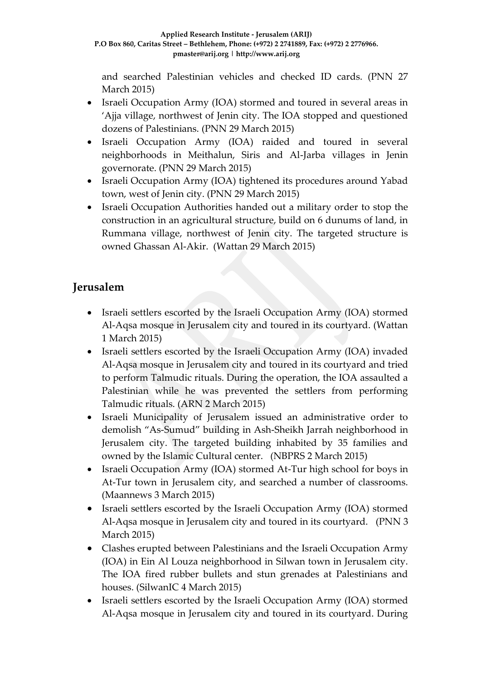and searched Palestinian vehicles and checked ID cards. (PNN 27 March 2015)

- Israeli Occupation Army (IOA) stormed and toured in several areas in 'Ajja village, northwest of Jenin city. The IOA stopped and questioned dozens of Palestinians. (PNN 29 March 2015)
- Israeli Occupation Army (IOA) raided and toured in several neighborhoods in Meithalun, Siris and Al-Jarba villages in Jenin governorate. (PNN 29 March 2015)
- Israeli Occupation Army (IOA) tightened its procedures around Yabad town, west of Jenin city. (PNN 29 March 2015)
- Israeli Occupation Authorities handed out a military order to stop the construction in an agricultural structure, build on 6 dunums of land, in Rummana village, northwest of Jenin city. The targeted structure is owned Ghassan Al-Akir. (Wattan 29 March 2015)

## **Jerusalem**

- Israeli settlers escorted by the Israeli Occupation Army (IOA) stormed Al-Aqsa mosque in Jerusalem city and toured in its courtyard. (Wattan 1 March 2015)
- Israeli settlers escorted by the Israeli Occupation Army (IOA) invaded Al-Aqsa mosque in Jerusalem city and toured in its courtyard and tried to perform Talmudic rituals. During the operation, the IOA assaulted a Palestinian while he was prevented the settlers from performing Talmudic rituals. (ARN 2 March 2015)
- Israeli Municipality of Jerusalem issued an administrative order to demolish "As-Sumud" building in Ash-Sheikh Jarrah neighborhood in Jerusalem city. The targeted building inhabited by 35 families and owned by the Islamic Cultural center. (NBPRS 2 March 2015)
- Israeli Occupation Army (IOA) stormed At-Tur high school for boys in At-Tur town in Jerusalem city, and searched a number of classrooms. (Maannews 3 March 2015)
- Israeli settlers escorted by the Israeli Occupation Army (IOA) stormed Al-Aqsa mosque in Jerusalem city and toured in its courtyard. (PNN 3 March 2015)
- Clashes erupted between Palestinians and the Israeli Occupation Army (IOA) in Ein Al Louza neighborhood in Silwan town in Jerusalem city. The IOA fired rubber bullets and stun grenades at Palestinians and houses. (SilwanIC 4 March 2015)
- Israeli settlers escorted by the Israeli Occupation Army (IOA) stormed Al-Aqsa mosque in Jerusalem city and toured in its courtyard. During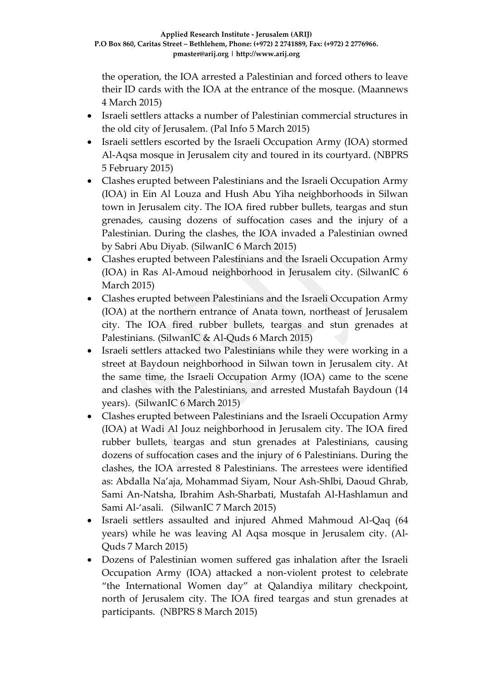the operation, the IOA arrested a Palestinian and forced others to leave their ID cards with the IOA at the entrance of the mosque. (Maannews 4 March 2015)

- Israeli settlers attacks a number of Palestinian commercial structures in the old city of Jerusalem. (Pal Info 5 March 2015)
- Israeli settlers escorted by the Israeli Occupation Army (IOA) stormed Al-Aqsa mosque in Jerusalem city and toured in its courtyard. (NBPRS 5 February 2015)
- Clashes erupted between Palestinians and the Israeli Occupation Army (IOA) in Ein Al Louza and Hush Abu Yiha neighborhoods in Silwan town in Jerusalem city. The IOA fired rubber bullets, teargas and stun grenades, causing dozens of suffocation cases and the injury of a Palestinian. During the clashes, the IOA invaded a Palestinian owned by Sabri Abu Diyab. (SilwanIC 6 March 2015)
- Clashes erupted between Palestinians and the Israeli Occupation Army (IOA) in Ras Al-Amoud neighborhood in Jerusalem city. (SilwanIC 6 March 2015)
- Clashes erupted between Palestinians and the Israeli Occupation Army (IOA) at the northern entrance of Anata town, northeast of Jerusalem city. The IOA fired rubber bullets, teargas and stun grenades at Palestinians. (SilwanIC & Al-Quds 6 March 2015)
- Israeli settlers attacked two Palestinians while they were working in a street at Baydoun neighborhood in Silwan town in Jerusalem city. At the same time, the Israeli Occupation Army (IOA) came to the scene and clashes with the Palestinians, and arrested Mustafah Baydoun (14 years). (SilwanIC 6 March 2015)
- Clashes erupted between Palestinians and the Israeli Occupation Army (IOA) at Wadi Al Jouz neighborhood in Jerusalem city. The IOA fired rubber bullets, teargas and stun grenades at Palestinians, causing dozens of suffocation cases and the injury of 6 Palestinians. During the clashes, the IOA arrested 8 Palestinians. The arrestees were identified as: Abdalla Na'aja, Mohammad Siyam, Nour Ash-Shlbi, Daoud Ghrab, Sami An-Natsha, Ibrahim Ash-Sharbati, Mustafah Al-Hashlamun and Sami Al-'asali. (SilwanIC 7 March 2015)
- Israeli settlers assaulted and injured Ahmed Mahmoud Al-Qaq (64 years) while he was leaving Al Aqsa mosque in Jerusalem city. (Al-Quds 7 March 2015)
- Dozens of Palestinian women suffered gas inhalation after the Israeli Occupation Army (IOA) attacked a non-violent protest to celebrate "the International Women day" at Qalandiya military checkpoint, north of Jerusalem city. The IOA fired teargas and stun grenades at participants. (NBPRS 8 March 2015)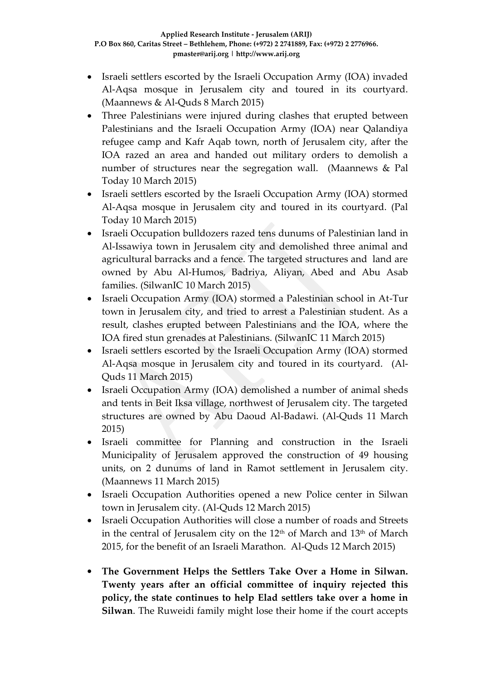- Israeli settlers escorted by the Israeli Occupation Army (IOA) invaded Al-Aqsa mosque in Jerusalem city and toured in its courtyard. (Maannews & Al-Quds 8 March 2015)
- Three Palestinians were injured during clashes that erupted between Palestinians and the Israeli Occupation Army (IOA) near Qalandiya refugee camp and Kafr Aqab town, north of Jerusalem city, after the IOA razed an area and handed out military orders to demolish a number of structures near the segregation wall. (Maannews & Pal Today 10 March 2015)
- Israeli settlers escorted by the Israeli Occupation Army (IOA) stormed Al-Aqsa mosque in Jerusalem city and toured in its courtyard. (Pal Today 10 March 2015)
- Israeli Occupation bulldozers razed tens dunums of Palestinian land in Al-Issawiya town in Jerusalem city and demolished three animal and agricultural barracks and a fence. The targeted structures and land are owned by Abu Al-Humos, Badriya, Aliyan, Abed and Abu Asab families. (SilwanIC 10 March 2015)
- Israeli Occupation Army (IOA) stormed a Palestinian school in At-Tur town in Jerusalem city, and tried to arrest a Palestinian student. As a result, clashes erupted between Palestinians and the IOA, where the IOA fired stun grenades at Palestinians. (SilwanIC 11 March 2015)
- Israeli settlers escorted by the Israeli Occupation Army (IOA) stormed Al-Aqsa mosque in Jerusalem city and toured in its courtyard. (Al-Quds 11 March 2015)
- Israeli Occupation Army (IOA) demolished a number of animal sheds and tents in Beit Iksa village, northwest of Jerusalem city. The targeted structures are owned by Abu Daoud Al-Badawi. (Al-Quds 11 March 2015)
- Israeli committee for Planning and construction in the Israeli Municipality of Jerusalem approved the construction of 49 housing units, on 2 dunums of land in Ramot settlement in Jerusalem city. (Maannews 11 March 2015)
- Israeli Occupation Authorities opened a new Police center in Silwan town in Jerusalem city. (Al-Quds 12 March 2015)
- Israeli Occupation Authorities will close a number of roads and Streets in the central of Jerusalem city on the 12<sup>th</sup> of March and 13<sup>th</sup> of March 2015, for the benefit of an Israeli Marathon. Al-Quds 12 March 2015)
- **The Government Helps the Settlers Take Over a Home in Silwan. Twenty years after an official committee of inquiry rejected this policy, the state continues to help Elad settlers take over a home in Silwan**. The Ruweidi family might lose their home if the court accepts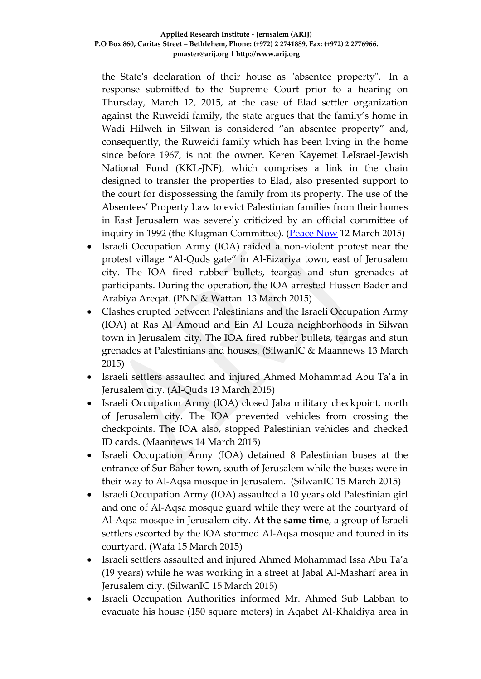the State's declaration of their house as "absentee property". In a response submitted to the Supreme Court prior to a hearing on Thursday, March 12, 2015, at the case of Elad settler organization against the Ruweidi family, the state argues that the family's home in Wadi Hilweh in Silwan is considered "an absentee property" and, consequently, the Ruweidi family which has been living in the home since before 1967, is not the owner. Keren Kayemet LeIsrael-Jewish National Fund (KKL-JNF), which comprises a link in the chain designed to transfer the properties to Elad, also presented support to the court for dispossessing the family from its property. The use of the Absentees' Property Law to evict Palestinian families from their homes in East Jerusalem was severely criticized by an official committee of inquiry in 1992 (the Klugman Committee). [\(Peace Now](http://peacenow.org.il/eng/RuweidiHouse) 12 March 2015)

- Israeli Occupation Army (IOA) raided a non-violent protest near the protest village "Al-Quds gate" in Al-Eizariya town, east of Jerusalem city. The IOA fired rubber bullets, teargas and stun grenades at participants. During the operation, the IOA arrested Hussen Bader and Arabiya Areqat. (PNN & Wattan 13 March 2015)
- Clashes erupted between Palestinians and the Israeli Occupation Army (IOA) at Ras Al Amoud and Ein Al Louza neighborhoods in Silwan town in Jerusalem city. The IOA fired rubber bullets, teargas and stun grenades at Palestinians and houses. (SilwanIC & Maannews 13 March 2015)
- Israeli settlers assaulted and injured Ahmed Mohammad Abu Ta'a in Jerusalem city. (Al-Quds 13 March 2015)
- Israeli Occupation Army (IOA) closed Jaba military checkpoint, north of Jerusalem city. The IOA prevented vehicles from crossing the checkpoints. The IOA also, stopped Palestinian vehicles and checked ID cards. (Maannews 14 March 2015)
- Israeli Occupation Army (IOA) detained 8 Palestinian buses at the entrance of Sur Baher town, south of Jerusalem while the buses were in their way to Al-Aqsa mosque in Jerusalem. (SilwanIC 15 March 2015)
- Israeli Occupation Army (IOA) assaulted a 10 years old Palestinian girl and one of Al-Aqsa mosque guard while they were at the courtyard of Al-Aqsa mosque in Jerusalem city. **At the same time**, a group of Israeli settlers escorted by the IOA stormed Al-Aqsa mosque and toured in its courtyard. (Wafa 15 March 2015)
- Israeli settlers assaulted and injured Ahmed Mohammad Issa Abu Ta'a (19 years) while he was working in a street at Jabal Al-Masharf area in Jerusalem city. (SilwanIC 15 March 2015)
- Israeli Occupation Authorities informed Mr. Ahmed Sub Labban to evacuate his house (150 square meters) in Aqabet Al-Khaldiya area in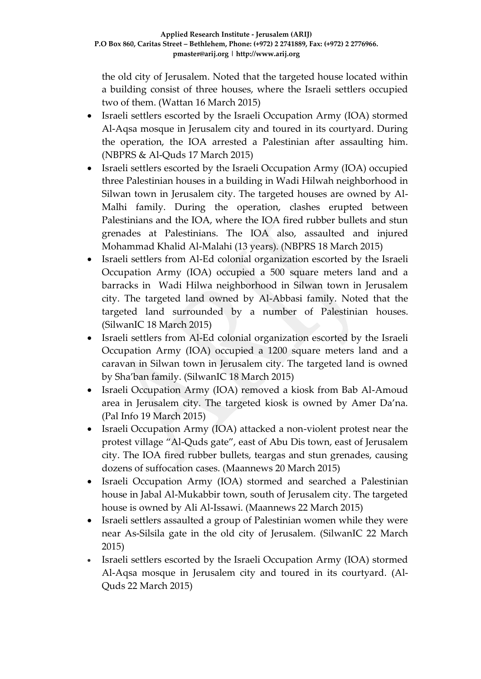the old city of Jerusalem. Noted that the targeted house located within a building consist of three houses, where the Israeli settlers occupied two of them. (Wattan 16 March 2015)

- Israeli settlers escorted by the Israeli Occupation Army (IOA) stormed Al-Aqsa mosque in Jerusalem city and toured in its courtyard. During the operation, the IOA arrested a Palestinian after assaulting him. (NBPRS & Al-Quds 17 March 2015)
- Israeli settlers escorted by the Israeli Occupation Army (IOA) occupied three Palestinian houses in a building in Wadi Hilwah neighborhood in Silwan town in Jerusalem city. The targeted houses are owned by Al-Malhi family. During the operation, clashes erupted between Palestinians and the IOA, where the IOA fired rubber bullets and stun grenades at Palestinians. The IOA also, assaulted and injured Mohammad Khalid Al-Malahi (13 years). (NBPRS 18 March 2015)
- Israeli settlers from Al-Ed colonial organization escorted by the Israeli Occupation Army (IOA) occupied a 500 square meters land and a barracks in Wadi Hilwa neighborhood in Silwan town in Jerusalem city. The targeted land owned by Al-Abbasi family. Noted that the targeted land surrounded by a number of Palestinian houses. (SilwanIC 18 March 2015)
- Israeli settlers from Al-Ed colonial organization escorted by the Israeli Occupation Army (IOA) occupied a 1200 square meters land and a caravan in Silwan town in Jerusalem city. The targeted land is owned by Sha'ban family. (SilwanIC 18 March 2015)
- Israeli Occupation Army (IOA) removed a kiosk from Bab Al-Amoud area in Jerusalem city. The targeted kiosk is owned by Amer Da'na. (Pal Info 19 March 2015)
- Israeli Occupation Army (IOA) attacked a non-violent protest near the protest village "Al-Quds gate", east of Abu Dis town, east of Jerusalem city. The IOA fired rubber bullets, teargas and stun grenades, causing dozens of suffocation cases. (Maannews 20 March 2015)
- Israeli Occupation Army (IOA) stormed and searched a Palestinian house in Jabal Al-Mukabbir town, south of Jerusalem city. The targeted house is owned by Ali Al-Issawi. (Maannews 22 March 2015)
- Israeli settlers assaulted a group of Palestinian women while they were near As-Silsila gate in the old city of Jerusalem. (SilwanIC 22 March 2015)
- Israeli settlers escorted by the Israeli Occupation Army (IOA) stormed Al-Aqsa mosque in Jerusalem city and toured in its courtyard. (Al-Quds 22 March 2015)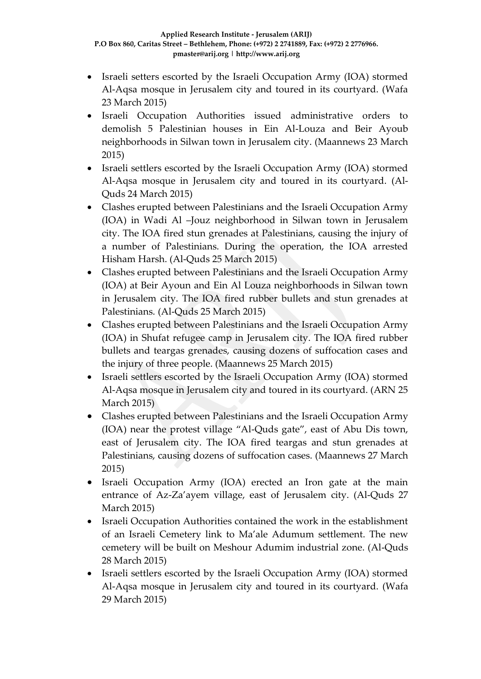- Israeli setters escorted by the Israeli Occupation Army (IOA) stormed Al-Aqsa mosque in Jerusalem city and toured in its courtyard. (Wafa 23 March 2015)
- Israeli Occupation Authorities issued administrative orders to demolish 5 Palestinian houses in Ein Al-Louza and Beir Ayoub neighborhoods in Silwan town in Jerusalem city. (Maannews 23 March 2015)
- Israeli settlers escorted by the Israeli Occupation Army (IOA) stormed Al-Aqsa mosque in Jerusalem city and toured in its courtyard. (Al-Quds 24 March 2015)
- Clashes erupted between Palestinians and the Israeli Occupation Army (IOA) in Wadi Al –Jouz neighborhood in Silwan town in Jerusalem city. The IOA fired stun grenades at Palestinians, causing the injury of a number of Palestinians. During the operation, the IOA arrested Hisham Harsh. (Al-Quds 25 March 2015)
- Clashes erupted between Palestinians and the Israeli Occupation Army (IOA) at Beir Ayoun and Ein Al Louza neighborhoods in Silwan town in Jerusalem city. The IOA fired rubber bullets and stun grenades at Palestinians. (Al-Quds 25 March 2015)
- Clashes erupted between Palestinians and the Israeli Occupation Army (IOA) in Shufat refugee camp in Jerusalem city. The IOA fired rubber bullets and teargas grenades, causing dozens of suffocation cases and the injury of three people. (Maannews 25 March 2015)
- Israeli settlers escorted by the Israeli Occupation Army (IOA) stormed Al-Aqsa mosque in Jerusalem city and toured in its courtyard. (ARN 25 March 2015)
- Clashes erupted between Palestinians and the Israeli Occupation Army (IOA) near the protest village "Al-Quds gate", east of Abu Dis town, east of Jerusalem city. The IOA fired teargas and stun grenades at Palestinians, causing dozens of suffocation cases. (Maannews 27 March 2015)
- Israeli Occupation Army (IOA) erected an Iron gate at the main entrance of Az-Za'ayem village, east of Jerusalem city. (Al-Quds 27 March 2015)
- Israeli Occupation Authorities contained the work in the establishment of an Israeli Cemetery link to Ma'ale Adumum settlement. The new cemetery will be built on Meshour Adumim industrial zone. (Al-Quds 28 March 2015)
- Israeli settlers escorted by the Israeli Occupation Army (IOA) stormed Al-Aqsa mosque in Jerusalem city and toured in its courtyard. (Wafa 29 March 2015)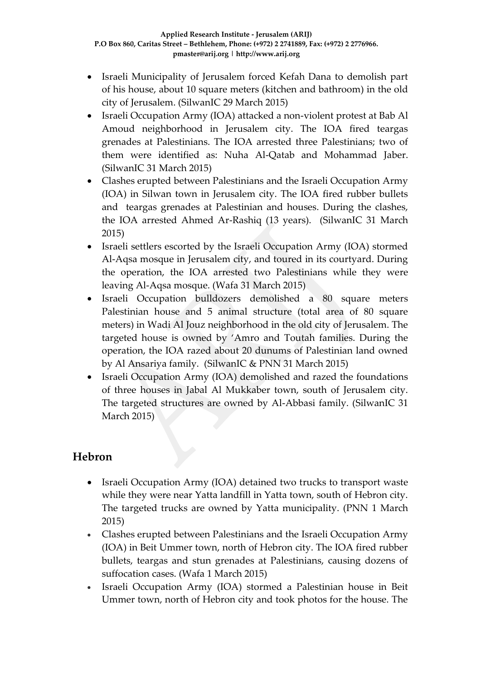- Israeli Municipality of Jerusalem forced Kefah Dana to demolish part of his house, about 10 square meters (kitchen and bathroom) in the old city of Jerusalem. (SilwanIC 29 March 2015)
- Israeli Occupation Army (IOA) attacked a non-violent protest at Bab Al Amoud neighborhood in Jerusalem city. The IOA fired teargas grenades at Palestinians. The IOA arrested three Palestinians; two of them were identified as: Nuha Al-Qatab and Mohammad Jaber. (SilwanIC 31 March 2015)
- Clashes erupted between Palestinians and the Israeli Occupation Army (IOA) in Silwan town in Jerusalem city. The IOA fired rubber bullets and teargas grenades at Palestinian and houses. During the clashes, the IOA arrested Ahmed Ar-Rashiq (13 years). (SilwanIC 31 March 2015)
- Israeli settlers escorted by the Israeli Occupation Army (IOA) stormed Al-Aqsa mosque in Jerusalem city, and toured in its courtyard. During the operation, the IOA arrested two Palestinians while they were leaving Al-Aqsa mosque. (Wafa 31 March 2015)
- Israeli Occupation bulldozers demolished a 80 square meters Palestinian house and 5 animal structure (total area of 80 square meters) in Wadi Al Jouz neighborhood in the old city of Jerusalem. The targeted house is owned by 'Amro and Toutah families. During the operation, the IOA razed about 20 dunums of Palestinian land owned by Al Ansariya family. (SilwanIC & PNN 31 March 2015)
- Israeli Occupation Army (IOA) demolished and razed the foundations of three houses in Jabal Al Mukkaber town, south of Jerusalem city. The targeted structures are owned by Al-Abbasi family. (SilwanIC 31 March 2015)

## **Hebron**

- Israeli Occupation Army (IOA) detained two trucks to transport waste while they were near Yatta landfill in Yatta town, south of Hebron city. The targeted trucks are owned by Yatta municipality. (PNN 1 March 2015)
- Clashes erupted between Palestinians and the Israeli Occupation Army (IOA) in Beit Ummer town, north of Hebron city. The IOA fired rubber bullets, teargas and stun grenades at Palestinians, causing dozens of suffocation cases. (Wafa 1 March 2015)
- Israeli Occupation Army (IOA) stormed a Palestinian house in Beit Ummer town, north of Hebron city and took photos for the house. The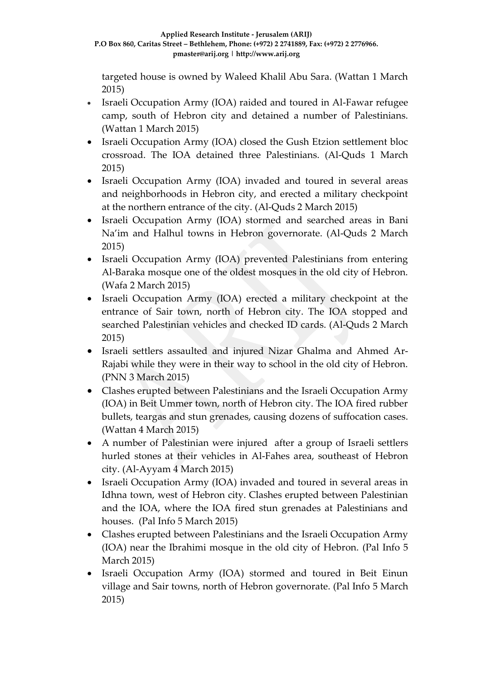targeted house is owned by Waleed Khalil Abu Sara. (Wattan 1 March 2015)

- Israeli Occupation Army (IOA) raided and toured in Al-Fawar refugee camp, south of Hebron city and detained a number of Palestinians. (Wattan 1 March 2015)
- Israeli Occupation Army (IOA) closed the Gush Etzion settlement bloc crossroad. The IOA detained three Palestinians. (Al-Quds 1 March 2015)
- Israeli Occupation Army (IOA) invaded and toured in several areas and neighborhoods in Hebron city, and erected a military checkpoint at the northern entrance of the city. (Al-Quds 2 March 2015)
- Israeli Occupation Army (IOA) stormed and searched areas in Bani Na'im and Halhul towns in Hebron governorate. (Al-Quds 2 March 2015)
- Israeli Occupation Army (IOA) prevented Palestinians from entering Al-Baraka mosque one of the oldest mosques in the old city of Hebron. (Wafa 2 March 2015)
- Israeli Occupation Army (IOA) erected a military checkpoint at the entrance of Sair town, north of Hebron city. The IOA stopped and searched Palestinian vehicles and checked ID cards. (Al-Quds 2 March 2015)
- Israeli settlers assaulted and injured Nizar Ghalma and Ahmed Ar-Rajabi while they were in their way to school in the old city of Hebron. (PNN 3 March 2015)
- Clashes erupted between Palestinians and the Israeli Occupation Army (IOA) in Beit Ummer town, north of Hebron city. The IOA fired rubber bullets, teargas and stun grenades, causing dozens of suffocation cases. (Wattan 4 March 2015)
- A number of Palestinian were injured after a group of Israeli settlers hurled stones at their vehicles in Al-Fahes area, southeast of Hebron city. (Al-Ayyam 4 March 2015)
- Israeli Occupation Army (IOA) invaded and toured in several areas in Idhna town, west of Hebron city. Clashes erupted between Palestinian and the IOA, where the IOA fired stun grenades at Palestinians and houses. (Pal Info 5 March 2015)
- Clashes erupted between Palestinians and the Israeli Occupation Army (IOA) near the Ibrahimi mosque in the old city of Hebron. (Pal Info 5 March 2015)
- Israeli Occupation Army (IOA) stormed and toured in Beit Einun village and Sair towns, north of Hebron governorate. (Pal Info 5 March 2015)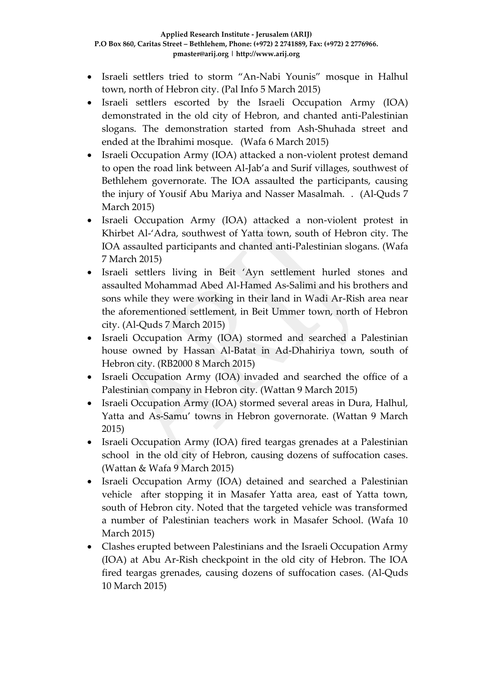- Israeli settlers tried to storm "An-Nabi Younis" mosque in Halhul town, north of Hebron city. (Pal Info 5 March 2015)
- Israeli settlers escorted by the Israeli Occupation Army (IOA) demonstrated in the old city of Hebron, and chanted anti-Palestinian slogans. The demonstration started from Ash-Shuhada street and ended at the Ibrahimi mosque. (Wafa 6 March 2015)
- Israeli Occupation Army (IOA) attacked a non-violent protest demand to open the road link between Al-Jab'a and Surif villages, southwest of Bethlehem governorate. The IOA assaulted the participants, causing the injury of Yousif Abu Mariya and Nasser Masalmah. . (Al-Quds 7 March 2015)
- Israeli Occupation Army (IOA) attacked a non-violent protest in Khirbet Al-'Adra, southwest of Yatta town, south of Hebron city. The IOA assaulted participants and chanted anti-Palestinian slogans. (Wafa 7 March 2015)
- Israeli settlers living in Beit 'Ayn settlement hurled stones and assaulted Mohammad Abed Al-Hamed As-Salimi and his brothers and sons while they were working in their land in Wadi Ar-Rish area near the aforementioned settlement, in Beit Ummer town, north of Hebron city. (Al-Quds 7 March 2015)
- Israeli Occupation Army (IOA) stormed and searched a Palestinian house owned by Hassan Al-Batat in Ad-Dhahiriya town, south of Hebron city. (RB2000 8 March 2015)
- Israeli Occupation Army (IOA) invaded and searched the office of a Palestinian company in Hebron city. (Wattan 9 March 2015)
- Israeli Occupation Army (IOA) stormed several areas in Dura, Halhul, Yatta and As-Samu' towns in Hebron governorate. (Wattan 9 March 2015)
- Israeli Occupation Army (IOA) fired teargas grenades at a Palestinian school in the old city of Hebron, causing dozens of suffocation cases. (Wattan & Wafa 9 March 2015)
- Israeli Occupation Army (IOA) detained and searched a Palestinian vehicle after stopping it in Masafer Yatta area, east of Yatta town, south of Hebron city. Noted that the targeted vehicle was transformed a number of Palestinian teachers work in Masafer School. (Wafa 10 March 2015)
- Clashes erupted between Palestinians and the Israeli Occupation Army (IOA) at Abu Ar-Rish checkpoint in the old city of Hebron. The IOA fired teargas grenades, causing dozens of suffocation cases. (Al-Quds 10 March 2015)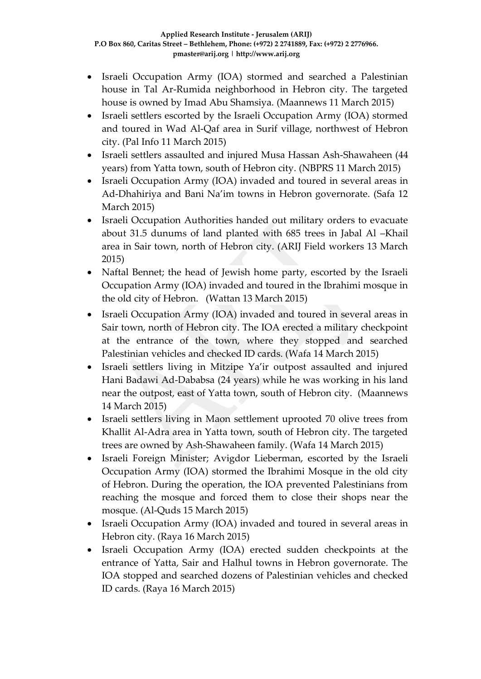- Israeli Occupation Army (IOA) stormed and searched a Palestinian house in Tal Ar-Rumida neighborhood in Hebron city. The targeted house is owned by Imad Abu Shamsiya. (Maannews 11 March 2015)
- Israeli settlers escorted by the Israeli Occupation Army (IOA) stormed and toured in Wad Al-Qaf area in Surif village, northwest of Hebron city. (Pal Info 11 March 2015)
- Israeli settlers assaulted and injured Musa Hassan Ash-Shawaheen (44 years) from Yatta town, south of Hebron city. (NBPRS 11 March 2015)
- Israeli Occupation Army (IOA) invaded and toured in several areas in Ad-Dhahiriya and Bani Na'im towns in Hebron governorate. (Safa 12 March 2015)
- Israeli Occupation Authorities handed out military orders to evacuate about 31.5 dunums of land planted with 685 trees in Jabal Al –Khail area in Sair town, north of Hebron city. (ARIJ Field workers 13 March 2015)
- Naftal Bennet; the head of Jewish home party, escorted by the Israeli Occupation Army (IOA) invaded and toured in the Ibrahimi mosque in the old city of Hebron. (Wattan 13 March 2015)
- Israeli Occupation Army (IOA) invaded and toured in several areas in Sair town, north of Hebron city. The IOA erected a military checkpoint at the entrance of the town, where they stopped and searched Palestinian vehicles and checked ID cards. (Wafa 14 March 2015)
- Israeli settlers living in Mitzipe Ya'ir outpost assaulted and injured Hani Badawi Ad-Dababsa (24 years) while he was working in his land near the outpost, east of Yatta town, south of Hebron city. (Maannews 14 March 2015)
- Israeli settlers living in Maon settlement uprooted 70 olive trees from Khallit Al-Adra area in Yatta town, south of Hebron city. The targeted trees are owned by Ash-Shawaheen family. (Wafa 14 March 2015)
- Israeli Foreign Minister; Avigdor Lieberman, escorted by the Israeli Occupation Army (IOA) stormed the Ibrahimi Mosque in the old city of Hebron. During the operation, the IOA prevented Palestinians from reaching the mosque and forced them to close their shops near the mosque. (Al-Quds 15 March 2015)
- Israeli Occupation Army (IOA) invaded and toured in several areas in Hebron city. (Raya 16 March 2015)
- Israeli Occupation Army (IOA) erected sudden checkpoints at the entrance of Yatta, Sair and Halhul towns in Hebron governorate. The IOA stopped and searched dozens of Palestinian vehicles and checked ID cards. (Raya 16 March 2015)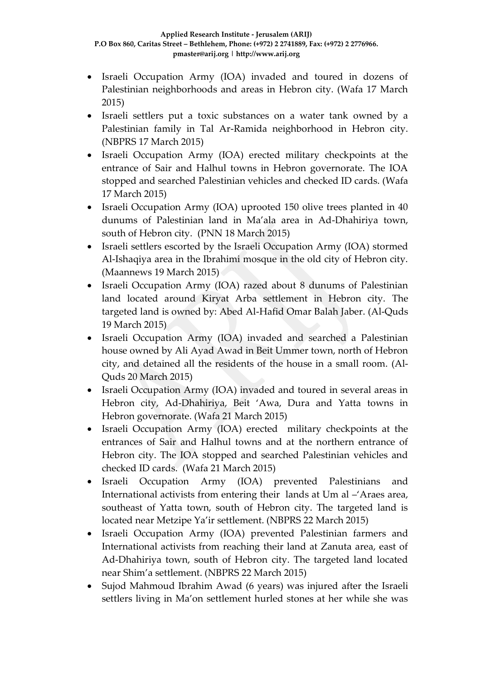- Israeli Occupation Army (IOA) invaded and toured in dozens of Palestinian neighborhoods and areas in Hebron city. (Wafa 17 March 2015)
- Israeli settlers put a toxic substances on a water tank owned by a Palestinian family in Tal Ar-Ramida neighborhood in Hebron city. (NBPRS 17 March 2015)
- Israeli Occupation Army (IOA) erected military checkpoints at the entrance of Sair and Halhul towns in Hebron governorate. The IOA stopped and searched Palestinian vehicles and checked ID cards. (Wafa 17 March 2015)
- Israeli Occupation Army (IOA) uprooted 150 olive trees planted in 40 dunums of Palestinian land in Ma'ala area in Ad-Dhahiriya town, south of Hebron city. (PNN 18 March 2015)
- Israeli settlers escorted by the Israeli Occupation Army (IOA) stormed Al-Ishaqiya area in the Ibrahimi mosque in the old city of Hebron city. (Maannews 19 March 2015)
- Israeli Occupation Army (IOA) razed about 8 dunums of Palestinian land located around Kiryat Arba settlement in Hebron city. The targeted land is owned by: Abed Al-Hafid Omar Balah Jaber. (Al-Quds 19 March 2015)
- Israeli Occupation Army (IOA) invaded and searched a Palestinian house owned by Ali Ayad Awad in Beit Ummer town, north of Hebron city, and detained all the residents of the house in a small room. (Al-Quds 20 March 2015)
- Israeli Occupation Army (IOA) invaded and toured in several areas in Hebron city, Ad-Dhahiriya, Beit 'Awa, Dura and Yatta towns in Hebron governorate. (Wafa 21 March 2015)
- Israeli Occupation Army (IOA) erected military checkpoints at the entrances of Sair and Halhul towns and at the northern entrance of Hebron city. The IOA stopped and searched Palestinian vehicles and checked ID cards. (Wafa 21 March 2015)
- Israeli Occupation Army (IOA) prevented Palestinians and International activists from entering their lands at Um al –'Araes area, southeast of Yatta town, south of Hebron city. The targeted land is located near Metzipe Ya'ir settlement. (NBPRS 22 March 2015)
- Israeli Occupation Army (IOA) prevented Palestinian farmers and International activists from reaching their land at Zanuta area, east of Ad-Dhahiriya town, south of Hebron city. The targeted land located near Shim'a settlement. (NBPRS 22 March 2015)
- Sujod Mahmoud Ibrahim Awad (6 years) was injured after the Israeli settlers living in Ma'on settlement hurled stones at her while she was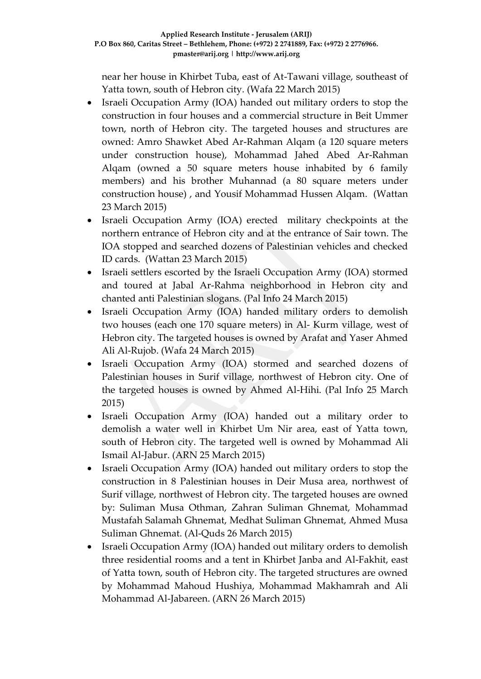near her house in Khirbet Tuba, east of At-Tawani village, southeast of Yatta town, south of Hebron city. (Wafa 22 March 2015)

- Israeli Occupation Army (IOA) handed out military orders to stop the construction in four houses and a commercial structure in Beit Ummer town, north of Hebron city. The targeted houses and structures are owned: Amro Shawket Abed Ar-Rahman Alqam (a 120 square meters under construction house), Mohammad Jahed Abed Ar-Rahman Alqam (owned a 50 square meters house inhabited by 6 family members) and his brother Muhannad (a 80 square meters under construction house) , and Yousif Mohammad Hussen Alqam. (Wattan 23 March 2015)
- Israeli Occupation Army (IOA) erected military checkpoints at the northern entrance of Hebron city and at the entrance of Sair town. The IOA stopped and searched dozens of Palestinian vehicles and checked ID cards. (Wattan 23 March 2015)
- Israeli settlers escorted by the Israeli Occupation Army (IOA) stormed and toured at Jabal Ar-Rahma neighborhood in Hebron city and chanted anti Palestinian slogans. (Pal Info 24 March 2015)
- Israeli Occupation Army (IOA) handed military orders to demolish two houses (each one 170 square meters) in Al- Kurm village, west of Hebron city. The targeted houses is owned by Arafat and Yaser Ahmed Ali Al-Rujob. (Wafa 24 March 2015)
- Israeli Occupation Army (IOA) stormed and searched dozens of Palestinian houses in Surif village, northwest of Hebron city. One of the targeted houses is owned by Ahmed Al-Hihi. (Pal Info 25 March 2015)
- Israeli Occupation Army (IOA) handed out a military order to demolish a water well in Khirbet Um Nir area, east of Yatta town, south of Hebron city. The targeted well is owned by Mohammad Ali Ismail Al-Jabur. (ARN 25 March 2015)
- Israeli Occupation Army (IOA) handed out military orders to stop the construction in 8 Palestinian houses in Deir Musa area, northwest of Surif village, northwest of Hebron city. The targeted houses are owned by: Suliman Musa Othman, Zahran Suliman Ghnemat, Mohammad Mustafah Salamah Ghnemat, Medhat Suliman Ghnemat, Ahmed Musa Suliman Ghnemat. (Al-Quds 26 March 2015)
- Israeli Occupation Army (IOA) handed out military orders to demolish three residential rooms and a tent in Khirbet Janba and Al-Fakhit, east of Yatta town, south of Hebron city. The targeted structures are owned by Mohammad Mahoud Hushiya, Mohammad Makhamrah and Ali Mohammad Al-Jabareen. (ARN 26 March 2015)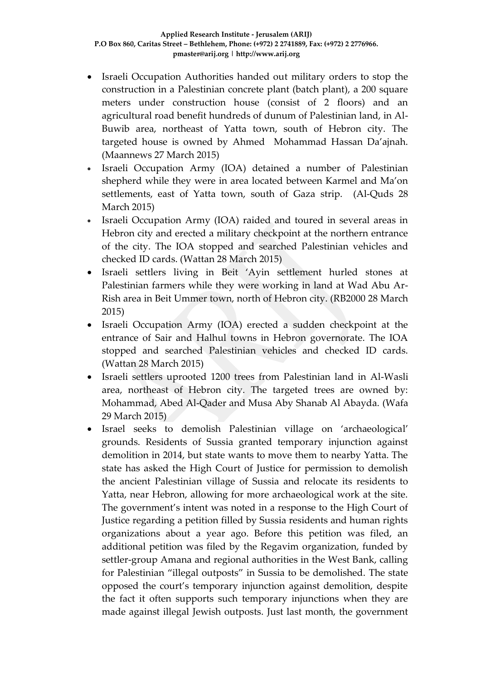- Israeli Occupation Authorities handed out military orders to stop the construction in a Palestinian concrete plant (batch plant), a 200 square meters under construction house (consist of 2 floors) and an agricultural road benefit hundreds of dunum of Palestinian land, in Al-Buwib area, northeast of Yatta town, south of Hebron city. The targeted house is owned by Ahmed Mohammad Hassan Da'ajnah. (Maannews 27 March 2015)
- Israeli Occupation Army (IOA) detained a number of Palestinian shepherd while they were in area located between Karmel and Ma'on settlements, east of Yatta town, south of Gaza strip. (Al-Quds 28 March 2015)
- Israeli Occupation Army (IOA) raided and toured in several areas in Hebron city and erected a military checkpoint at the northern entrance of the city. The IOA stopped and searched Palestinian vehicles and checked ID cards. (Wattan 28 March 2015)
- Israeli settlers living in Beit 'Ayin settlement hurled stones at Palestinian farmers while they were working in land at Wad Abu Ar-Rish area in Beit Ummer town, north of Hebron city. (RB2000 28 March 2015)
- Israeli Occupation Army (IOA) erected a sudden checkpoint at the entrance of Sair and Halhul towns in Hebron governorate. The IOA stopped and searched Palestinian vehicles and checked ID cards. (Wattan 28 March 2015)
- Israeli settlers uprooted 1200 trees from Palestinian land in Al-Wasli area, northeast of Hebron city. The targeted trees are owned by: Mohammad, Abed Al-Qader and Musa Aby Shanab Al Abayda. (Wafa 29 March 2015)
- Israel seeks to demolish Palestinian village on 'archaeological' grounds. Residents of Sussia granted temporary injunction against demolition in 2014, but state wants to move them to nearby Yatta. The state has asked the High Court of Justice for permission to demolish the ancient Palestinian village of Sussia and relocate its residents to Yatta, near Hebron, allowing for more archaeological work at the site. The government's intent was noted in a response to the High Court of Justice regarding a petition filled by Sussia residents and human rights organizations about a year ago. Before this petition was filed, an additional petition was filed by the Regavim organization, funded by settler-group Amana and regional authorities in the West Bank, calling for Palestinian "illegal outposts" in Sussia to be demolished. The state opposed the court's temporary injunction against demolition, despite the fact it often supports such temporary injunctions when they are made against illegal Jewish outposts. Just last month, the government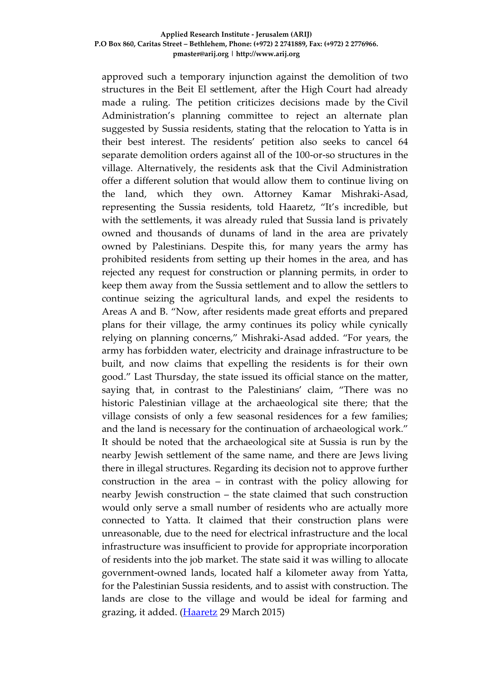approved such a temporary injunction against the demolition of two structures in the Beit El settlement, after the High Court had already made a ruling. The petition criticizes decisions made by the [Civil](http://www.haaretz.com/news/diplomacy-defense/civil-administration-calls-for-demolition-of-west-bank-palestinian-village-built-on-archaeological-site-1.453907)  [Administration](http://www.haaretz.com/news/diplomacy-defense/civil-administration-calls-for-demolition-of-west-bank-palestinian-village-built-on-archaeological-site-1.453907)'s planning committee to reject an alternate plan suggested by Sussia residents, stating that the relocation to Yatta is in their best interest. The residents' petition also seeks to cancel 64 separate demolition orders against all of the 100-or-so structures in the village. Alternatively, the residents ask that the Civil Administration offer a different solution that would allow them to continue living on the land, which they own. Attorney Kamar Mishraki-Asad, representing the Sussia residents, told Haaretz, "It's incredible, but with the settlements, it was already ruled that Sussia land is privately owned and thousands of dunams of land in the area are privately owned by Palestinians. Despite this, for many years the army has prohibited residents from setting up their homes in the area, and has rejected any request for construction or planning permits, in order to keep them away from the Sussia settlement and to allow the settlers to continue seizing the agricultural lands, and expel the residents to Areas A and B. "Now, after residents made great efforts and prepared plans for their village, the army continues its policy while cynically relying on planning concerns," Mishraki-Asad added. "For years, the army has forbidden water, electricity and drainage infrastructure to be built, and now claims that expelling the residents is for their own good." Last Thursday, the state issued its official stance on the matter, saying that, in contrast to the Palestinians' claim, "There was no historic Palestinian village at the archaeological site there; that the village consists of only a few seasonal residences for a few families; and the land is necessary for the continuation of archaeological work." It should be noted that the archaeological site at Sussia is run by the nearby Jewish settlement of the same name, and there are Jews living there in illegal structures. Regarding its decision not to approve further construction in the area – in contrast with the policy allowing for nearby Jewish construction – the state claimed that such construction would only serve a small number of residents who are actually more connected to Yatta. It claimed that their construction plans were unreasonable, due to the need for electrical infrastructure and the local infrastructure was insufficient to provide for appropriate incorporation of residents into the job market. The state said it was willing to allocate government-owned lands, located half a kilometer away from Yatta, for the Palestinian Sussia residents, and to assist with construction. The lands are close to the village and would be ideal for farming and grazing, it added. [\(Haaretz](http://www.haaretz.com/news/diplomacy-defense/.premium-1.649340) 29 March 2015)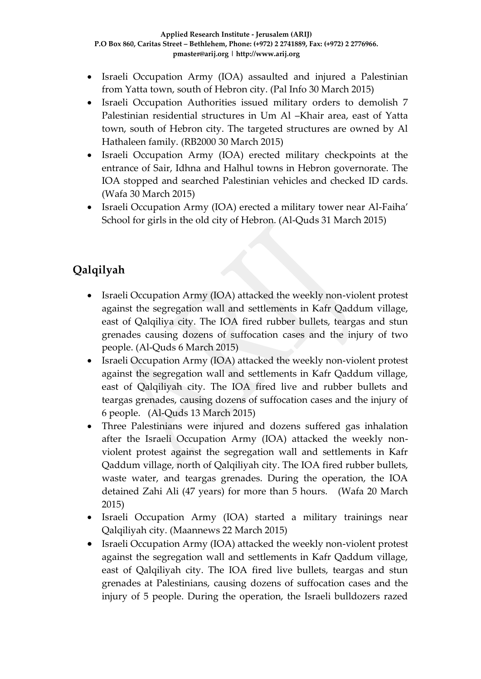- Israeli Occupation Army (IOA) assaulted and injured a Palestinian from Yatta town, south of Hebron city. (Pal Info 30 March 2015)
- Israeli Occupation Authorities issued military orders to demolish 7 Palestinian residential structures in Um Al –Khair area, east of Yatta town, south of Hebron city. The targeted structures are owned by Al Hathaleen family. (RB2000 30 March 2015)
- Israeli Occupation Army (IOA) erected military checkpoints at the entrance of Sair, Idhna and Halhul towns in Hebron governorate. The IOA stopped and searched Palestinian vehicles and checked ID cards. (Wafa 30 March 2015)
- Israeli Occupation Army (IOA) erected a military tower near Al-Faiha' School for girls in the old city of Hebron. (Al-Quds 31 March 2015)

# **Qalqilyah**

- Israeli Occupation Army (IOA) attacked the weekly non-violent protest against the segregation wall and settlements in Kafr Qaddum village, east of Qalqiliya city. The IOA fired rubber bullets, teargas and stun grenades causing dozens of suffocation cases and the injury of two people. (Al-Quds 6 March 2015)
- Israeli Occupation Army (IOA) attacked the weekly non-violent protest against the segregation wall and settlements in Kafr Qaddum village, east of Qalqiliyah city. The IOA fired live and rubber bullets and teargas grenades, causing dozens of suffocation cases and the injury of 6 people. (Al-Quds 13 March 2015)
- Three Palestinians were injured and dozens suffered gas inhalation after the Israeli Occupation Army (IOA) attacked the weekly nonviolent protest against the segregation wall and settlements in Kafr Qaddum village, north of Qalqiliyah city. The IOA fired rubber bullets, waste water, and teargas grenades. During the operation, the IOA detained Zahi Ali (47 years) for more than 5 hours. (Wafa 20 March 2015)
- Israeli Occupation Army (IOA) started a military trainings near Qalqiliyah city. (Maannews 22 March 2015)
- Israeli Occupation Army (IOA) attacked the weekly non-violent protest against the segregation wall and settlements in Kafr Qaddum village, east of Qalqiliyah city. The IOA fired live bullets, teargas and stun grenades at Palestinians, causing dozens of suffocation cases and the injury of 5 people. During the operation, the Israeli bulldozers razed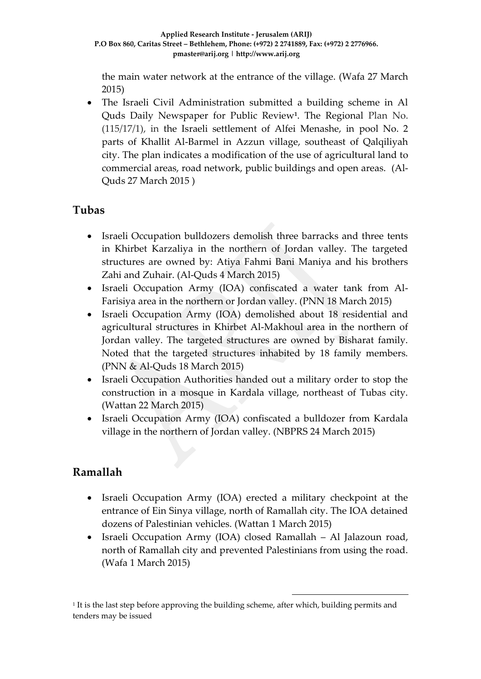the main water network at the entrance of the village. (Wafa 27 March 2015)

 The Israeli Civil Administration submitted a building scheme in Al Quds Daily Newspaper for Public Review**<sup>1</sup>** . The Regional Plan No. (115/17/1), in the Israeli settlement of Alfei Menashe, in pool No. 2 parts of Khallit Al-Barmel in Azzun village, southeast of Qalqiliyah city. The plan indicates a modification of the use of agricultural land to commercial areas, road network, public buildings and open areas. (Al-Quds 27 March 2015 )

## **Tubas**

- Israeli Occupation bulldozers demolish three barracks and three tents in Khirbet Karzaliya in the northern of Jordan valley. The targeted structures are owned by: Atiya Fahmi Bani Maniya and his brothers Zahi and Zuhair. (Al-Quds 4 March 2015)
- Israeli Occupation Army (IOA) confiscated a water tank from Al-Farisiya area in the northern or Jordan valley. (PNN 18 March 2015)
- Israeli Occupation Army (IOA) demolished about 18 residential and agricultural structures in Khirbet Al-Makhoul area in the northern of Jordan valley. The targeted structures are owned by Bisharat family. Noted that the targeted structures inhabited by 18 family members. (PNN & Al-Quds 18 March 2015)
- Israeli Occupation Authorities handed out a military order to stop the construction in a mosque in Kardala village, northeast of Tubas city. (Wattan 22 March 2015)
- Israeli Occupation Army (IOA) confiscated a bulldozer from Kardala village in the northern of Jordan valley. (NBPRS 24 March 2015)

## **Ramallah**

- Israeli Occupation Army (IOA) erected a military checkpoint at the entrance of Ein Sinya village, north of Ramallah city. The IOA detained dozens of Palestinian vehicles. (Wattan 1 March 2015)
- Israeli Occupation Army (IOA) closed Ramallah Al Jalazoun road, north of Ramallah city and prevented Palestinians from using the road. (Wafa 1 March 2015)

1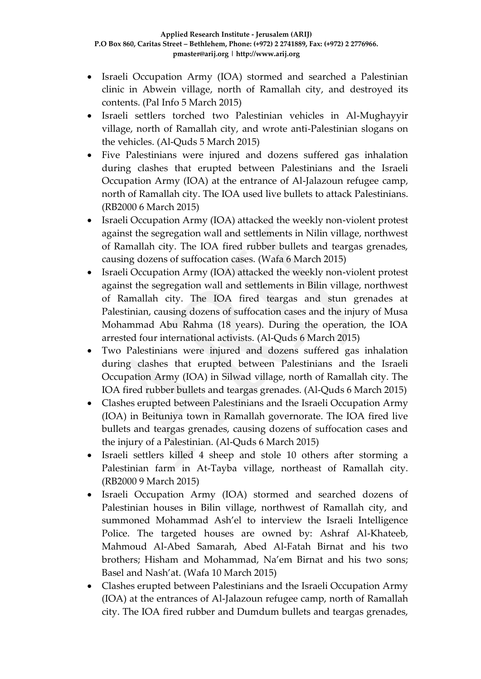- Israeli Occupation Army (IOA) stormed and searched a Palestinian clinic in Abwein village, north of Ramallah city, and destroyed its contents. (Pal Info 5 March 2015)
- Israeli settlers torched two Palestinian vehicles in Al-Mughayyir village, north of Ramallah city, and wrote anti-Palestinian slogans on the vehicles. (Al-Quds 5 March 2015)
- Five Palestinians were injured and dozens suffered gas inhalation during clashes that erupted between Palestinians and the Israeli Occupation Army (IOA) at the entrance of Al-Jalazoun refugee camp, north of Ramallah city. The IOA used live bullets to attack Palestinians. (RB2000 6 March 2015)
- Israeli Occupation Army (IOA) attacked the weekly non-violent protest against the segregation wall and settlements in Nilin village, northwest of Ramallah city. The IOA fired rubber bullets and teargas grenades, causing dozens of suffocation cases. (Wafa 6 March 2015)
- Israeli Occupation Army (IOA) attacked the weekly non-violent protest against the segregation wall and settlements in Bilin village, northwest of Ramallah city. The IOA fired teargas and stun grenades at Palestinian, causing dozens of suffocation cases and the injury of Musa Mohammad Abu Rahma (18 years). During the operation, the IOA arrested four international activists. (Al-Quds 6 March 2015)
- Two Palestinians were injured and dozens suffered gas inhalation during clashes that erupted between Palestinians and the Israeli Occupation Army (IOA) in Silwad village, north of Ramallah city. The IOA fired rubber bullets and teargas grenades. (Al-Quds 6 March 2015)
- Clashes erupted between Palestinians and the Israeli Occupation Army (IOA) in Beituniya town in Ramallah governorate. The IOA fired live bullets and teargas grenades, causing dozens of suffocation cases and the injury of a Palestinian. (Al-Quds 6 March 2015)
- Israeli settlers killed 4 sheep and stole 10 others after storming a Palestinian farm in At-Tayba village, northeast of Ramallah city. (RB2000 9 March 2015)
- Israeli Occupation Army (IOA) stormed and searched dozens of Palestinian houses in Bilin village, northwest of Ramallah city, and summoned Mohammad Ash'el to interview the Israeli Intelligence Police. The targeted houses are owned by: Ashraf Al-Khateeb, Mahmoud Al-Abed Samarah, Abed Al-Fatah Birnat and his two brothers; Hisham and Mohammad, Na'em Birnat and his two sons; Basel and Nash'at. (Wafa 10 March 2015)
- Clashes erupted between Palestinians and the Israeli Occupation Army (IOA) at the entrances of Al-Jalazoun refugee camp, north of Ramallah city. The IOA fired rubber and Dumdum bullets and teargas grenades,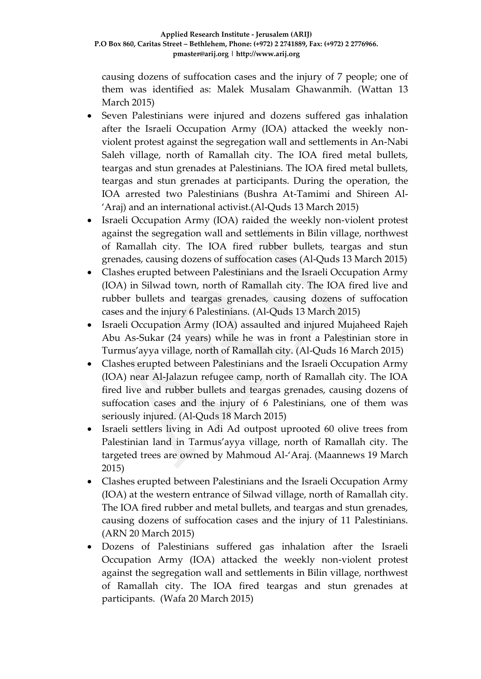causing dozens of suffocation cases and the injury of 7 people; one of them was identified as: Malek Musalam Ghawanmih. (Wattan 13 March 2015)

- Seven Palestinians were injured and dozens suffered gas inhalation after the Israeli Occupation Army (IOA) attacked the weekly nonviolent protest against the segregation wall and settlements in An-Nabi Saleh village, north of Ramallah city. The IOA fired metal bullets, teargas and stun grenades at Palestinians. The IOA fired metal bullets, teargas and stun grenades at participants. During the operation, the IOA arrested two Palestinians (Bushra At-Tamimi and Shireen Al- 'Araj) and an international activist.(Al-Quds 13 March 2015)
- Israeli Occupation Army (IOA) raided the weekly non-violent protest against the segregation wall and settlements in Bilin village, northwest of Ramallah city. The IOA fired rubber bullets, teargas and stun grenades, causing dozens of suffocation cases (Al-Quds 13 March 2015)
- Clashes erupted between Palestinians and the Israeli Occupation Army (IOA) in Silwad town, north of Ramallah city. The IOA fired live and rubber bullets and teargas grenades, causing dozens of suffocation cases and the injury 6 Palestinians. (Al-Quds 13 March 2015)
- Israeli Occupation Army (IOA) assaulted and injured Mujaheed Rajeh Abu As-Sukar (24 years) while he was in front a Palestinian store in Turmus'ayya village, north of Ramallah city. (Al-Quds 16 March 2015)
- Clashes erupted between Palestinians and the Israeli Occupation Army (IOA) near Al-Jalazun refugee camp, north of Ramallah city. The IOA fired live and rubber bullets and teargas grenades, causing dozens of suffocation cases and the injury of 6 Palestinians, one of them was seriously injured. (Al-Quds 18 March 2015)
- Israeli settlers living in Adi Ad outpost uprooted 60 olive trees from Palestinian land in Tarmus'ayya village, north of Ramallah city. The targeted trees are owned by Mahmoud Al-'Araj. (Maannews 19 March 2015)
- Clashes erupted between Palestinians and the Israeli Occupation Army (IOA) at the western entrance of Silwad village, north of Ramallah city. The IOA fired rubber and metal bullets, and teargas and stun grenades, causing dozens of suffocation cases and the injury of 11 Palestinians. (ARN 20 March 2015)
- Dozens of Palestinians suffered gas inhalation after the Israeli Occupation Army (IOA) attacked the weekly non-violent protest against the segregation wall and settlements in Bilin village, northwest of Ramallah city. The IOA fired teargas and stun grenades at participants. (Wafa 20 March 2015)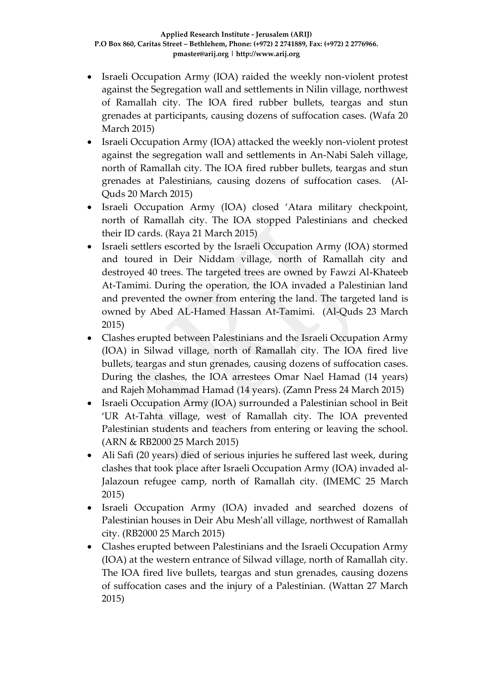- Israeli Occupation Army (IOA) raided the weekly non-violent protest against the Segregation wall and settlements in Nilin village, northwest of Ramallah city. The IOA fired rubber bullets, teargas and stun grenades at participants, causing dozens of suffocation cases. (Wafa 20 March 2015)
- Israeli Occupation Army (IOA) attacked the weekly non-violent protest against the segregation wall and settlements in An-Nabi Saleh village, north of Ramallah city. The IOA fired rubber bullets, teargas and stun grenades at Palestinians, causing dozens of suffocation cases. (Al-Quds 20 March 2015)
- Israeli Occupation Army (IOA) closed 'Atara military checkpoint, north of Ramallah city. The IOA stopped Palestinians and checked their ID cards. (Raya 21 March 2015)
- Israeli settlers escorted by the Israeli Occupation Army (IOA) stormed and toured in Deir Niddam village, north of Ramallah city and destroyed 40 trees. The targeted trees are owned by Fawzi Al-Khateeb At-Tamimi. During the operation, the IOA invaded a Palestinian land and prevented the owner from entering the land. The targeted land is owned by Abed AL-Hamed Hassan At-Tamimi. (Al-Quds 23 March 2015)
- Clashes erupted between Palestinians and the Israeli Occupation Army (IOA) in Silwad village, north of Ramallah city. The IOA fired live bullets, teargas and stun grenades, causing dozens of suffocation cases. During the clashes, the IOA arrestees Omar Nael Hamad (14 years) and Rajeh Mohammad Hamad (14 years). (Zamn Press 24 March 2015)
- Israeli Occupation Army (IOA) surrounded a Palestinian school in Beit 'UR At-Tahta village, west of Ramallah city. The IOA prevented Palestinian students and teachers from entering or leaving the school. (ARN & RB2000 25 March 2015)
- Ali Safi (20 years) died of serious injuries he suffered last week, during clashes that took place after Israeli Occupation Army (IOA) invaded al-Jalazoun refugee camp, north of Ramallah city. (IMEMC 25 March 2015)
- Israeli Occupation Army (IOA) invaded and searched dozens of Palestinian houses in Deir Abu Mesh'all village, northwest of Ramallah city. (RB2000 25 March 2015)
- Clashes erupted between Palestinians and the Israeli Occupation Army (IOA) at the western entrance of Silwad village, north of Ramallah city. The IOA fired live bullets, teargas and stun grenades, causing dozens of suffocation cases and the injury of a Palestinian. (Wattan 27 March 2015)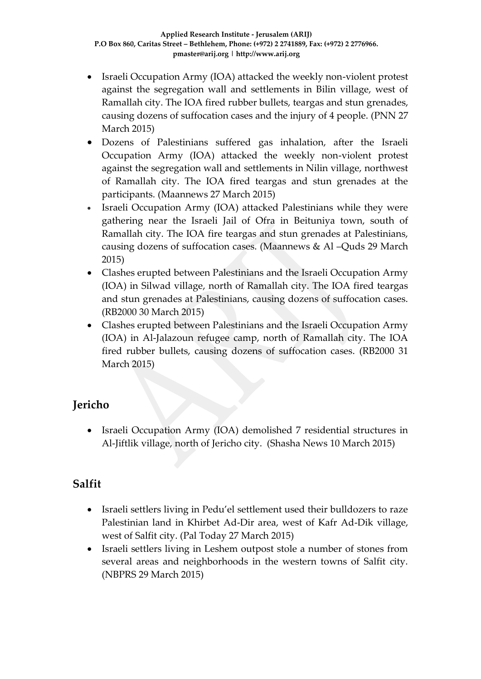- Israeli Occupation Army (IOA) attacked the weekly non-violent protest against the segregation wall and settlements in Bilin village, west of Ramallah city. The IOA fired rubber bullets, teargas and stun grenades, causing dozens of suffocation cases and the injury of 4 people. (PNN 27 March 2015)
- Dozens of Palestinians suffered gas inhalation, after the Israeli Occupation Army (IOA) attacked the weekly non-violent protest against the segregation wall and settlements in Nilin village, northwest of Ramallah city. The IOA fired teargas and stun grenades at the participants. (Maannews 27 March 2015)
- Israeli Occupation Army (IOA) attacked Palestinians while they were gathering near the Israeli Jail of Ofra in Beituniya town, south of Ramallah city. The IOA fire teargas and stun grenades at Palestinians, causing dozens of suffocation cases. (Maannews & Al –Quds 29 March 2015)
- Clashes erupted between Palestinians and the Israeli Occupation Army (IOA) in Silwad village, north of Ramallah city. The IOA fired teargas and stun grenades at Palestinians, causing dozens of suffocation cases. (RB2000 30 March 2015)
- Clashes erupted between Palestinians and the Israeli Occupation Army (IOA) in Al-Jalazoun refugee camp, north of Ramallah city. The IOA fired rubber bullets, causing dozens of suffocation cases. (RB2000 31 March 2015)

# **Jericho**

• Israeli Occupation Army (IOA) demolished 7 residential structures in Al-Jiftlik village, north of Jericho city. (Shasha News 10 March 2015)

# **Salfit**

- Israeli settlers living in Pedu'el settlement used their bulldozers to raze Palestinian land in Khirbet Ad-Dir area, west of Kafr Ad-Dik village, west of Salfit city. (Pal Today 27 March 2015)
- Israeli settlers living in Leshem outpost stole a number of stones from several areas and neighborhoods in the western towns of Salfit city. (NBPRS 29 March 2015)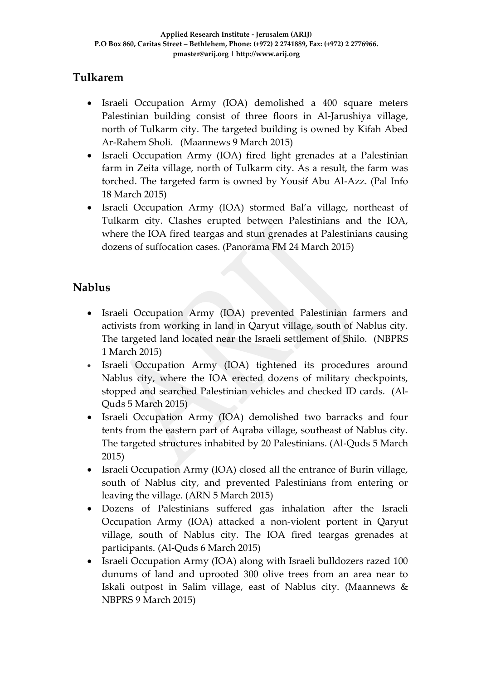## **Tulkarem**

- Israeli Occupation Army (IOA) demolished a 400 square meters Palestinian building consist of three floors in Al-Jarushiya village, north of Tulkarm city. The targeted building is owned by Kifah Abed Ar-Rahem Sholi. (Maannews 9 March 2015)
- Israeli Occupation Army (IOA) fired light grenades at a Palestinian farm in Zeita village, north of Tulkarm city. As a result, the farm was torched. The targeted farm is owned by Yousif Abu Al-Azz. (Pal Info 18 March 2015)
- Israeli Occupation Army (IOA) stormed Bal'a village, northeast of Tulkarm city. Clashes erupted between Palestinians and the IOA, where the IOA fired teargas and stun grenades at Palestinians causing dozens of suffocation cases. (Panorama FM 24 March 2015)

# **Nablus**

- Israeli Occupation Army (IOA) prevented Palestinian farmers and activists from working in land in Qaryut village, south of Nablus city. The targeted land located near the Israeli settlement of Shilo. (NBPRS 1 March 2015)
- Israeli Occupation Army (IOA) tightened its procedures around Nablus city, where the IOA erected dozens of military checkpoints, stopped and searched Palestinian vehicles and checked ID cards. (Al-Quds 5 March 2015)
- Israeli Occupation Army (IOA) demolished two barracks and four tents from the eastern part of Aqraba village, southeast of Nablus city. The targeted structures inhabited by 20 Palestinians. (Al-Quds 5 March 2015)
- Israeli Occupation Army (IOA) closed all the entrance of Burin village, south of Nablus city, and prevented Palestinians from entering or leaving the village. (ARN 5 March 2015)
- Dozens of Palestinians suffered gas inhalation after the Israeli Occupation Army (IOA) attacked a non-violent portent in Qaryut village, south of Nablus city. The IOA fired teargas grenades at participants. (Al-Quds 6 March 2015)
- Israeli Occupation Army (IOA) along with Israeli bulldozers razed 100 dunums of land and uprooted 300 olive trees from an area near to Iskali outpost in Salim village, east of Nablus city. (Maannews & NBPRS 9 March 2015)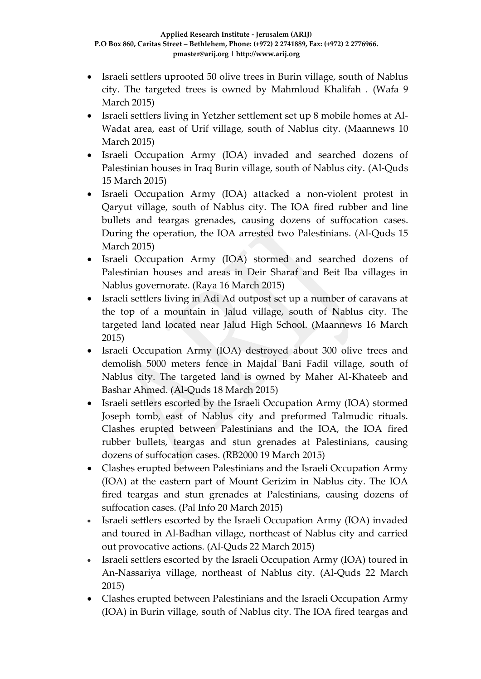- Israeli settlers uprooted 50 olive trees in Burin village, south of Nablus city. The targeted trees is owned by Mahmloud Khalifah . (Wafa 9 March 2015)
- Israeli settlers living in Yetzher settlement set up 8 mobile homes at Al-Wadat area, east of Urif village, south of Nablus city. (Maannews 10 March 2015)
- Israeli Occupation Army (IOA) invaded and searched dozens of Palestinian houses in Iraq Burin village, south of Nablus city. (Al-Quds 15 March 2015)
- Israeli Occupation Army (IOA) attacked a non-violent protest in Qaryut village, south of Nablus city. The IOA fired rubber and line bullets and teargas grenades, causing dozens of suffocation cases. During the operation, the IOA arrested two Palestinians. (Al-Quds 15 March 2015)
- Israeli Occupation Army (IOA) stormed and searched dozens of Palestinian houses and areas in Deir Sharaf and Beit Iba villages in Nablus governorate. (Raya 16 March 2015)
- Israeli settlers living in Adi Ad outpost set up a number of caravans at the top of a mountain in Jalud village, south of Nablus city. The targeted land located near Jalud High School. (Maannews 16 March 2015)
- Israeli Occupation Army (IOA) destroyed about 300 olive trees and demolish 5000 meters fence in Majdal Bani Fadil village, south of Nablus city. The targeted land is owned by Maher Al-Khateeb and Bashar Ahmed. (Al-Quds 18 March 2015)
- Israeli settlers escorted by the Israeli Occupation Army (IOA) stormed Joseph tomb, east of Nablus city and preformed Talmudic rituals. Clashes erupted between Palestinians and the IOA, the IOA fired rubber bullets, teargas and stun grenades at Palestinians, causing dozens of suffocation cases. (RB2000 19 March 2015)
- Clashes erupted between Palestinians and the Israeli Occupation Army (IOA) at the eastern part of Mount Gerizim in Nablus city. The IOA fired teargas and stun grenades at Palestinians, causing dozens of suffocation cases. (Pal Info 20 March 2015)
- Israeli settlers escorted by the Israeli Occupation Army (IOA) invaded and toured in Al-Badhan village, northeast of Nablus city and carried out provocative actions. (Al-Quds 22 March 2015)
- Israeli settlers escorted by the Israeli Occupation Army (IOA) toured in An-Nassariya village, northeast of Nablus city. (Al-Quds 22 March 2015)
- Clashes erupted between Palestinians and the Israeli Occupation Army (IOA) in Burin village, south of Nablus city. The IOA fired teargas and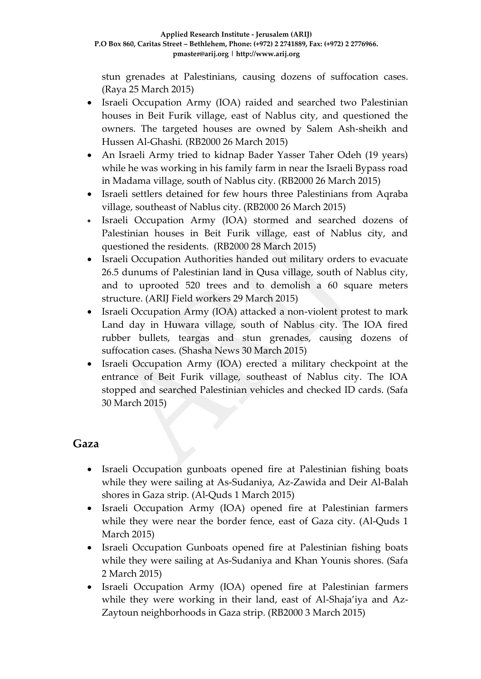stun grenades at Palestinians, causing dozens of suffocation cases. (Raya 25 March 2015)

- Israeli Occupation Army (IOA) raided and searched two Palestinian houses in Beit Furik village, east of Nablus city, and questioned the owners. The targeted houses are owned by Salem Ash-sheikh and Hussen Al-Ghashi. (RB2000 26 March 2015)
- An Israeli Army tried to kidnap Bader Yasser Taher Odeh (19 years) while he was working in his family farm in near the Israeli Bypass road in Madama village, south of Nablus city. (RB2000 26 March 2015)
- Israeli settlers detained for few hours three Palestinians from Aqraba village, southeast of Nablus city. (RB2000 26 March 2015)
- Israeli Occupation Army (IOA) stormed and searched dozens of Palestinian houses in Beit Furik village, east of Nablus city, and questioned the residents. (RB2000 28 March 2015)
- Israeli Occupation Authorities handed out military orders to evacuate 26.5 dunums of Palestinian land in Qusa village, south of Nablus city, and to uprooted 520 trees and to demolish a 60 square meters structure. (ARIJ Field workers 29 March 2015)
- Israeli Occupation Army (IOA) attacked a non-violent protest to mark Land day in Huwara village, south of Nablus city. The IOA fired rubber bullets, teargas and stun grenades, causing dozens of suffocation cases. (Shasha News 30 March 2015)
- Israeli Occupation Army (IOA) erected a military checkpoint at the entrance of Beit Furik village, southeast of Nablus city. The IOA stopped and searched Palestinian vehicles and checked ID cards. (Safa 30 March 2015)

### **Gaza**

- Israeli Occupation gunboats opened fire at Palestinian fishing boats while they were sailing at As-Sudaniya, Az-Zawida and Deir Al-Balah shores in Gaza strip. (Al-Quds 1 March 2015)
- Israeli Occupation Army (IOA) opened fire at Palestinian farmers while they were near the border fence, east of Gaza city. (Al-Quds 1 March 2015)
- Israeli Occupation Gunboats opened fire at Palestinian fishing boats while they were sailing at As-Sudaniya and Khan Younis shores. (Safa 2 March 2015)
- Israeli Occupation Army (IOA) opened fire at Palestinian farmers while they were working in their land, east of Al-Shaja'iya and Az-Zaytoun neighborhoods in Gaza strip. (RB2000 3 March 2015)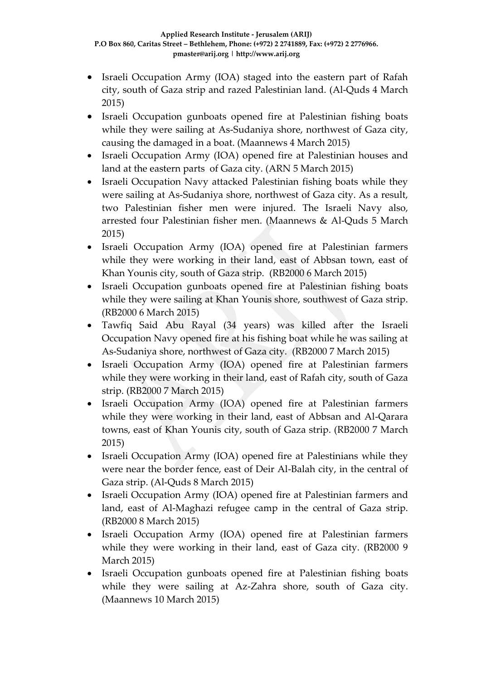- Israeli Occupation Army (IOA) staged into the eastern part of Rafah city, south of Gaza strip and razed Palestinian land. (Al-Quds 4 March 2015)
- Israeli Occupation gunboats opened fire at Palestinian fishing boats while they were sailing at As-Sudaniya shore, northwest of Gaza city, causing the damaged in a boat. (Maannews 4 March 2015)
- Israeli Occupation Army (IOA) opened fire at Palestinian houses and land at the eastern parts of Gaza city. (ARN 5 March 2015)
- Israeli Occupation Navy attacked Palestinian fishing boats while they were sailing at As-Sudaniya shore, northwest of Gaza city. As a result, two Palestinian fisher men were injured. The Israeli Navy also, arrested four Palestinian fisher men. (Maannews & Al-Quds 5 March 2015)
- Israeli Occupation Army (IOA) opened fire at Palestinian farmers while they were working in their land, east of Abbsan town, east of Khan Younis city, south of Gaza strip. (RB2000 6 March 2015)
- Israeli Occupation gunboats opened fire at Palestinian fishing boats while they were sailing at Khan Younis shore, southwest of Gaza strip. (RB2000 6 March 2015)
- Tawfiq Said Abu Rayal (34 years) was killed after the Israeli Occupation Navy opened fire at his fishing boat while he was sailing at As-Sudaniya shore, northwest of Gaza city. (RB2000 7 March 2015)
- Israeli Occupation Army (IOA) opened fire at Palestinian farmers while they were working in their land, east of Rafah city, south of Gaza strip. (RB2000 7 March 2015)
- Israeli Occupation Army (IOA) opened fire at Palestinian farmers while they were working in their land, east of Abbsan and Al-Qarara towns, east of Khan Younis city, south of Gaza strip. (RB2000 7 March 2015)
- Israeli Occupation Army (IOA) opened fire at Palestinians while they were near the border fence, east of Deir Al-Balah city, in the central of Gaza strip. (Al-Quds 8 March 2015)
- Israeli Occupation Army (IOA) opened fire at Palestinian farmers and land, east of Al-Maghazi refugee camp in the central of Gaza strip. (RB2000 8 March 2015)
- Israeli Occupation Army (IOA) opened fire at Palestinian farmers while they were working in their land, east of Gaza city. (RB2000 9 March 2015)
- Israeli Occupation gunboats opened fire at Palestinian fishing boats while they were sailing at Az-Zahra shore, south of Gaza city. (Maannews 10 March 2015)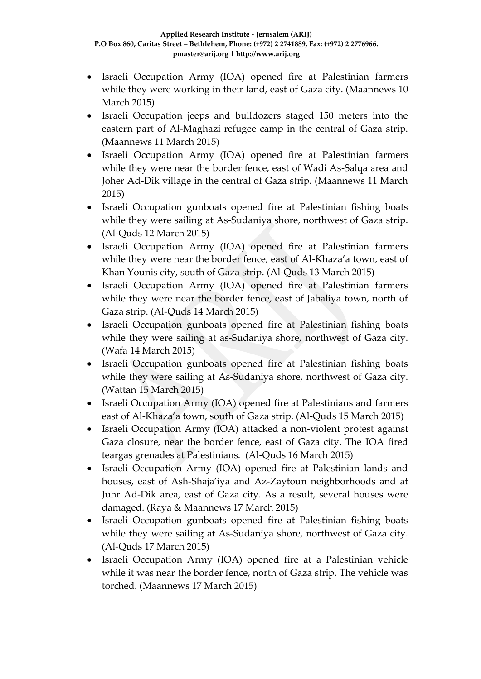- Israeli Occupation Army (IOA) opened fire at Palestinian farmers while they were working in their land, east of Gaza city. (Maannews 10 March 2015)
- Israeli Occupation jeeps and bulldozers staged 150 meters into the eastern part of Al-Maghazi refugee camp in the central of Gaza strip. (Maannews 11 March 2015)
- Israeli Occupation Army (IOA) opened fire at Palestinian farmers while they were near the border fence, east of Wadi As-Salqa area and Joher Ad-Dik village in the central of Gaza strip. (Maannews 11 March 2015)
- Israeli Occupation gunboats opened fire at Palestinian fishing boats while they were sailing at As-Sudaniya shore, northwest of Gaza strip. (Al-Quds 12 March 2015)
- Israeli Occupation Army (IOA) opened fire at Palestinian farmers while they were near the border fence, east of Al-Khaza'a town, east of Khan Younis city, south of Gaza strip. (Al-Quds 13 March 2015)
- Israeli Occupation Army (IOA) opened fire at Palestinian farmers while they were near the border fence, east of Jabaliya town, north of Gaza strip. (Al-Quds 14 March 2015)
- Israeli Occupation gunboats opened fire at Palestinian fishing boats while they were sailing at as-Sudaniya shore, northwest of Gaza city. (Wafa 14 March 2015)
- Israeli Occupation gunboats opened fire at Palestinian fishing boats while they were sailing at As-Sudaniya shore, northwest of Gaza city. (Wattan 15 March 2015)
- Israeli Occupation Army (IOA) opened fire at Palestinians and farmers east of Al-Khaza'a town, south of Gaza strip. (Al-Quds 15 March 2015)
- Israeli Occupation Army (IOA) attacked a non-violent protest against Gaza closure, near the border fence, east of Gaza city. The IOA fired teargas grenades at Palestinians. (Al-Quds 16 March 2015)
- Israeli Occupation Army (IOA) opened fire at Palestinian lands and houses, east of Ash-Shaja'iya and Az-Zaytoun neighborhoods and at Juhr Ad-Dik area, east of Gaza city. As a result, several houses were damaged. (Raya & Maannews 17 March 2015)
- Israeli Occupation gunboats opened fire at Palestinian fishing boats while they were sailing at As-Sudaniya shore, northwest of Gaza city. (Al-Quds 17 March 2015)
- Israeli Occupation Army (IOA) opened fire at a Palestinian vehicle while it was near the border fence, north of Gaza strip. The vehicle was torched. (Maannews 17 March 2015)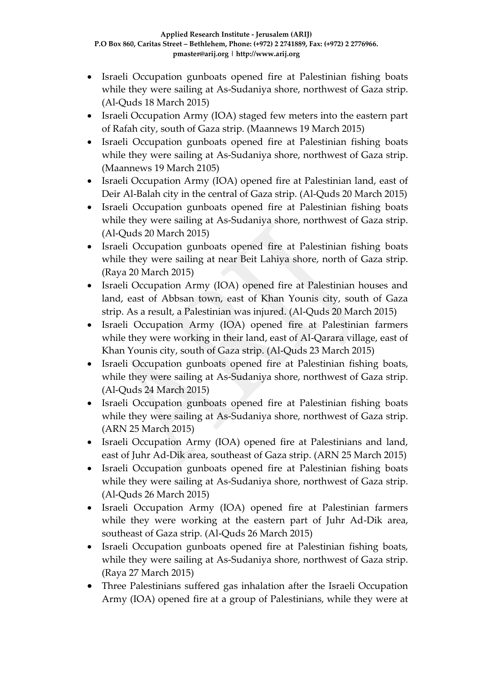- Israeli Occupation gunboats opened fire at Palestinian fishing boats while they were sailing at As-Sudaniya shore, northwest of Gaza strip. (Al-Quds 18 March 2015)
- Israeli Occupation Army (IOA) staged few meters into the eastern part of Rafah city, south of Gaza strip. (Maannews 19 March 2015)
- Israeli Occupation gunboats opened fire at Palestinian fishing boats while they were sailing at As-Sudaniya shore, northwest of Gaza strip. (Maannews 19 March 2105)
- Israeli Occupation Army (IOA) opened fire at Palestinian land, east of Deir Al-Balah city in the central of Gaza strip. (Al-Quds 20 March 2015)
- Israeli Occupation gunboats opened fire at Palestinian fishing boats while they were sailing at As-Sudaniya shore, northwest of Gaza strip. (Al-Quds 20 March 2015)
- Israeli Occupation gunboats opened fire at Palestinian fishing boats while they were sailing at near Beit Lahiya shore, north of Gaza strip. (Raya 20 March 2015)
- Israeli Occupation Army (IOA) opened fire at Palestinian houses and land, east of Abbsan town, east of Khan Younis city, south of Gaza strip. As a result, a Palestinian was injured. (Al-Quds 20 March 2015)
- Israeli Occupation Army (IOA) opened fire at Palestinian farmers while they were working in their land, east of Al-Qarara village, east of Khan Younis city, south of Gaza strip. (Al-Quds 23 March 2015)
- Israeli Occupation gunboats opened fire at Palestinian fishing boats, while they were sailing at As-Sudaniya shore, northwest of Gaza strip. (Al-Quds 24 March 2015)
- Israeli Occupation gunboats opened fire at Palestinian fishing boats while they were sailing at As-Sudaniya shore, northwest of Gaza strip. (ARN 25 March 2015)
- Israeli Occupation Army (IOA) opened fire at Palestinians and land, east of Juhr Ad-Dik area, southeast of Gaza strip. (ARN 25 March 2015)
- Israeli Occupation gunboats opened fire at Palestinian fishing boats while they were sailing at As-Sudaniya shore, northwest of Gaza strip. (Al-Quds 26 March 2015)
- Israeli Occupation Army (IOA) opened fire at Palestinian farmers while they were working at the eastern part of Juhr Ad-Dik area, southeast of Gaza strip. (Al-Quds 26 March 2015)
- Israeli Occupation gunboats opened fire at Palestinian fishing boats, while they were sailing at As-Sudaniya shore, northwest of Gaza strip. (Raya 27 March 2015)
- Three Palestinians suffered gas inhalation after the Israeli Occupation Army (IOA) opened fire at a group of Palestinians, while they were at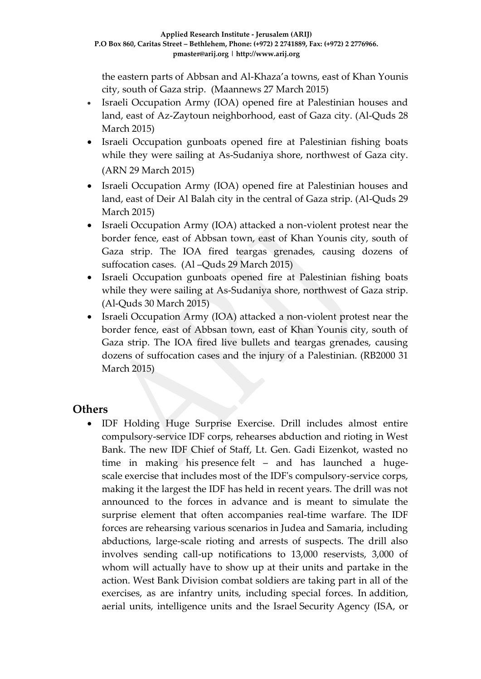the eastern parts of Abbsan and Al-Khaza'a towns, east of Khan Younis city, south of Gaza strip. (Maannews 27 March 2015)

- Israeli Occupation Army (IOA) opened fire at Palestinian houses and land, east of Az-Zaytoun neighborhood, east of Gaza city. (Al-Quds 28 March 2015)
- Israeli Occupation gunboats opened fire at Palestinian fishing boats while they were sailing at As-Sudaniya shore, northwest of Gaza city. (ARN 29 March 2015)
- Israeli Occupation Army (IOA) opened fire at Palestinian houses and land, east of Deir Al Balah city in the central of Gaza strip. (Al-Quds 29 March 2015)
- Israeli Occupation Army (IOA) attacked a non-violent protest near the border fence, east of Abbsan town, east of Khan Younis city, south of Gaza strip. The IOA fired teargas grenades, causing dozens of suffocation cases. (Al –Quds 29 March 2015)
- Israeli Occupation gunboats opened fire at Palestinian fishing boats while they were sailing at As-Sudaniya shore, northwest of Gaza strip. (Al-Quds 30 March 2015)
- Israeli Occupation Army (IOA) attacked a non-violent protest near the border fence, east of Abbsan town, east of Khan Younis city, south of Gaza strip. The IOA fired live bullets and teargas grenades, causing dozens of suffocation cases and the injury of a Palestinian. (RB2000 31 March 2015)

### **Others**

 IDF Holding Huge Surprise Exercise. Drill includes almost entire compulsory-service IDF corps, rehearses abduction and rioting in West Bank. The new IDF Chief of Staff, Lt. Gen. Gadi Eizenkot, wasted no time in making his presence felt – and has launched a hugescale exercise that includes most of the IDF's compulsory-service corps, making it the largest the IDF has held in recent years. The drill was not announced to the forces in advance and is meant to simulate the surprise element that often accompanies real-time warfare. The IDF forces are rehearsing various scenarios in Judea and Samaria, including abductions, large-scale rioting and arrests of suspects. The drill also involves sending call-up notifications to 13,000 reservists, 3,000 of whom will actually have to show up at their units and partake in the action. West Bank Division combat soldiers are taking part in all of the exercises, as are infantry units, including special forces. In addition, aerial units, intelligence units and the Israel Security Agency (ISA, or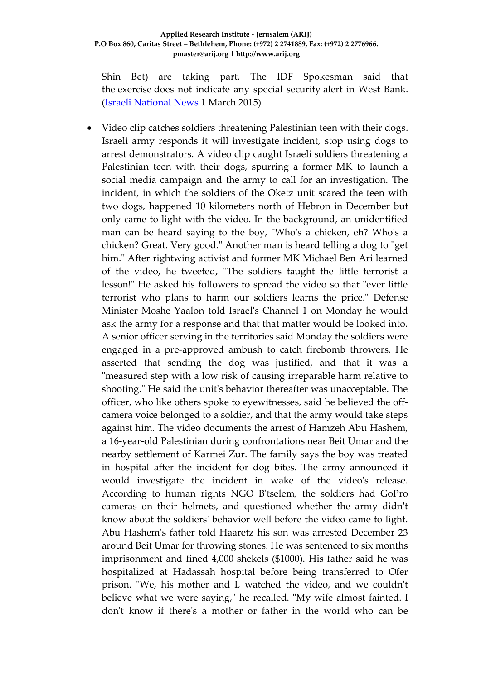Shin Bet) are taking part. The IDF Spokesman said that the exercise does not indicate any special security alert in West Bank. (Israeli [National News](http://www.israelnationalnews.com/News/News.aspx/191976#.VPROtPmUepc) 1 March 2015)

 Video clip catches soldiers threatening Palestinian teen with their dogs. Israeli army responds it will investigate incident, stop using dogs to arrest demonstrators. A video clip caught Israeli soldiers threatening a Palestinian teen with their dogs, spurring a former MK to launch a social media campaign and the army to call for an investigation. The incident, in which the soldiers of the Oketz unit scared the teen with two dogs, happened 10 kilometers north of Hebron in December but only came to light with the video. In the background, an unidentified man can be heard saying to the boy, "Who's a chicken, eh? Who's a chicken? Great. Very good." Another man is heard telling a dog to "get him." After rightwing activist and former MK Michael Ben Ari learned of the video, he tweeted, "The soldiers taught the little terrorist a lesson!" He asked his followers to spread the video so that "ever little terrorist who plans to harm our soldiers learns the price." Defense Minister Moshe Yaalon told Israel's Channel 1 on Monday he would ask the army for a response and that that matter would be looked into. A senior officer serving in the territories said Monday the soldiers were engaged in a pre-approved ambush to catch firebomb throwers. He asserted that sending the dog was justified, and that it was a "measured step with a low risk of causing irreparable harm relative to shooting." He said the unit's behavior thereafter was unacceptable. The officer, who like others spoke to eyewitnesses, said he believed the offcamera voice belonged to a soldier, and that the army would take steps against him. The video documents the arrest of Hamzeh Abu Hashem, a 16-year-old Palestinian during confrontations near Beit Umar and the nearby settlement of Karmei Zur. The family says the boy was treated in hospital after the incident for dog bites. The army announced it would investigate the incident in wake of the video's release. According to human rights NGO B'tselem, the soldiers had GoPro cameras on their helmets, and questioned whether the army didn't know about the soldiers' behavior well before the video came to light. Abu Hashem's father told Haaretz his son was arrested December 23 around Beit Umar for throwing stones. He was sentenced to six months imprisonment and fined 4,000 shekels (\$1000). His father said he was hospitalized at Hadassah hospital before being transferred to Ofer prison. "We, his mother and I, watched the video, and we couldn't believe what we were saying," he recalled. "My wife almost fainted. I don't know if there's a mother or father in the world who can be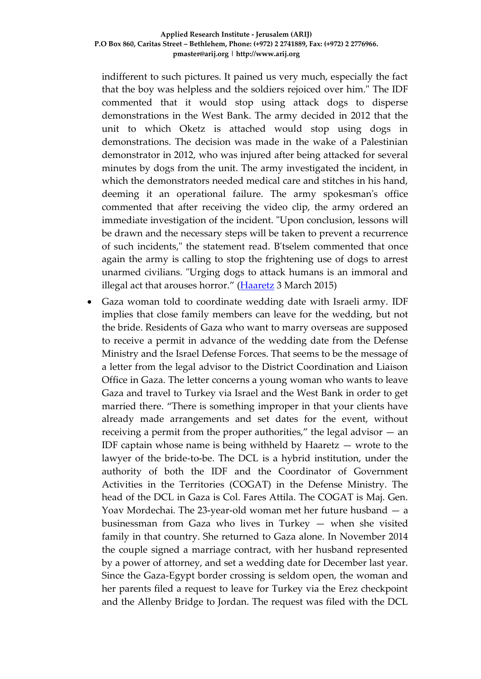indifferent to such pictures. It pained us very much, especially the fact that the boy was helpless and the soldiers rejoiced over him." The IDF commented that it would stop using attack dogs to disperse demonstrations in the West Bank. The army decided in 2012 that the unit to which Oketz is attached would stop using dogs in demonstrations. The decision was made in the wake of a Palestinian demonstrator in 2012, who was injured after being attacked for several minutes by dogs from the unit. The army investigated the incident, in which the demonstrators needed medical care and stitches in his hand, deeming it an operational failure. The army spokesman's office commented that after receiving the video clip, the army ordered an immediate investigation of the incident. "Upon conclusion, lessons will be drawn and the necessary steps will be taken to prevent a recurrence of such incidents," the statement read. B'tselem commented that once again the army is calling to stop the frightening use of dogs to arrest unarmed civilians. "Urging dogs to attack humans is an immoral and illegal act that arouses horror."  $(Haaretz 3 March 2015)$  $(Haaretz 3 March 2015)$  $(Haaretz 3 March 2015)$ 

 Gaza woman told to coordinate wedding date with Israeli army. IDF implies that close family members can leave for the wedding, but not the bride. Residents of Gaza who want to marry overseas are supposed to receive a permit in advance of the wedding date from the Defense Ministry and the Israel Defense Forces. That seems to be the message of a letter from the legal advisor to the District Coordination and Liaison Office in Gaza. The letter concerns a young woman who wants to leave Gaza and travel to Turkey via Israel and the West Bank in order to get married there. "There is something improper in that your clients have already made arrangements and set dates for the event, without receiving a permit from the proper authorities," the legal advisor  $-$  an IDF captain whose name is being withheld by Haaretz  $-$  wrote to the lawyer of the bride-to-be. The DCL is a hybrid institution, under the authority of both the IDF and the Coordinator of Government Activities in the Territories (COGAT) in the Defense Ministry. The head of the DCL in Gaza is Col. Fares Attila. The COGAT is Maj. Gen. Yoav Mordechai. The 23-year-old woman met her future husband — a businessman from Gaza who lives in Turkey — when she visited family in that country. She returned to Gaza alone. In November 2014 the couple signed a marriage contract, with her husband represented by a power of attorney, and set a wedding date for December last year. Since the Gaza-Egypt border crossing is seldom open, the woman and her parents filed a request to leave for Turkey via the Erez checkpoint and the Allenby Bridge to Jordan. The request was filed with the DCL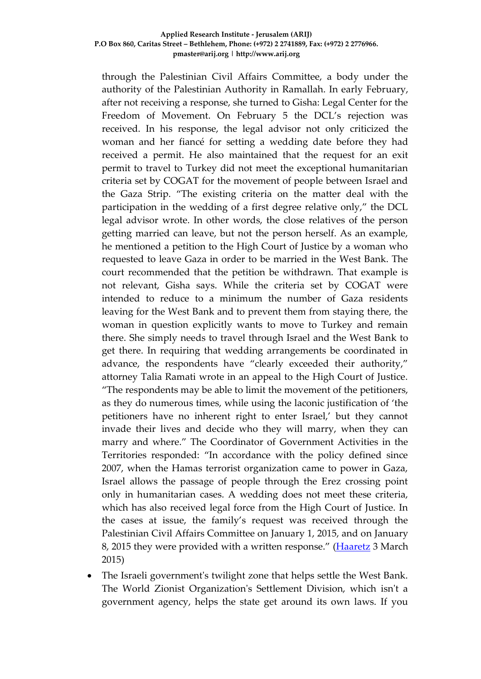through the Palestinian Civil Affairs Committee, a body under the authority of the Palestinian Authority in Ramallah. In early February, after not receiving a response, she turned to Gisha: Legal Center for the Freedom of Movement. On February 5 the DCL's rejection was received. In his response, the legal advisor not only criticized the woman and her fiancé for setting a wedding date before they had received a permit. He also maintained that the request for an exit permit to travel to Turkey did not meet the exceptional humanitarian criteria set by COGAT for the movement of people between Israel and the Gaza Strip. "The existing criteria on the matter deal with the participation in the wedding of a first degree relative only," the DCL legal advisor wrote. In other words, the close relatives of the person getting married can leave, but not the person herself. As an example, he mentioned a petition to the High Court of Justice by a woman who requested to leave Gaza in order to be married in the West Bank. The court recommended that the petition be withdrawn. That example is not relevant, Gisha says. While the criteria set by COGAT were intended to reduce to a minimum the number of Gaza residents leaving for the West Bank and to prevent them from staying there, the woman in question explicitly wants to move to Turkey and remain there. She simply needs to travel through Israel and the West Bank to get there. In requiring that wedding arrangements be coordinated in advance, the respondents have "clearly exceeded their authority," attorney Talia Ramati wrote in an appeal to the High Court of Justice. "The respondents may be able to limit the movement of the petitioners, as they do numerous times, while using the laconic justification of 'the petitioners have no inherent right to enter Israel,' but they cannot invade their lives and decide who they will marry, when they can marry and where." The Coordinator of Government Activities in the Territories responded: "In accordance with the policy defined since 2007, when the Hamas terrorist organization came to power in Gaza, Israel allows the passage of people through the Erez crossing point only in humanitarian cases. A wedding does not meet these criteria, which has also received legal force from the High Court of Justice. In the cases at issue, the family's request was received through the Palestinian Civil Affairs Committee on January 1, 2015, and on January 8, 2015 they were provided with a written response." [\(Haaretz](http://www.haaretz.com/news/diplomacy-defense/.premium-1.645035) 3 March 2015)

 The Israeli government's twilight zone that helps settle the West Bank. The World Zionist Organization's Settlement Division, which isn't a government agency, helps the state get around its own laws. If you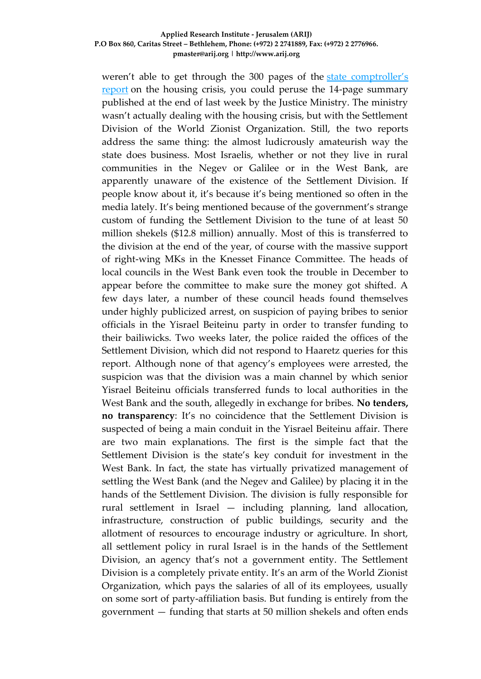weren't able to get through the 300 pages of the [state comptroller's](http://www.haaretz.com/news/national/1.644206)  [report](http://www.haaretz.com/news/national/1.644206) on the housing crisis, you could peruse the 14-page summary published at the end of last week by the Justice Ministry. The ministry wasn't actually dealing with the housing crisis, but with the Settlement Division of the World Zionist Organization. Still, the two reports address the same thing: the almost ludicrously amateurish way the state does business. Most Israelis, whether or not they live in rural communities in the Negev or Galilee or in the West Bank, are apparently unaware of the existence of the Settlement Division. If people know about it, it's because it's being mentioned so often in the media lately. It's being mentioned because of the government's strange custom of funding the Settlement Division to the tune of at least 50 million shekels (\$12.8 million) annually. Most of this is transferred to the division at the end of the year, of course with the massive support of right-wing MKs in the Knesset Finance Committee. The heads of local councils in the West Bank even took the trouble in December to appear before the committee to make sure the money got shifted. A few days later, a number of these council heads found themselves under highly publicized arrest, on suspicion of paying bribes to senior officials in the Yisrael Beiteinu party in order to transfer funding to their bailiwicks. Two weeks later, the police raided the offices of the Settlement Division, which did not respond to Haaretz queries for this report. Although none of that agency's employees were arrested, the suspicion was that the division was a main channel by which senior Yisrael Beiteinu officials transferred funds to local authorities in the West Bank and the south, allegedly in exchange for bribes. **No tenders, no transparency**: It's no coincidence that the Settlement Division is suspected of being a main conduit in the Yisrael Beiteinu affair. There are two main explanations. The first is the simple fact that the Settlement Division is the state's key conduit for investment in the West Bank. In fact, the state has virtually privatized management of settling the West Bank (and the Negev and Galilee) by placing it in the hands of the Settlement Division. The division is fully responsible for rural settlement in Israel — including planning, land allocation, infrastructure, construction of public buildings, security and the allotment of resources to encourage industry or agriculture. In short, all settlement policy in rural Israel is in the hands of the Settlement Division, an agency that's not a government entity. The Settlement Division is a completely private entity. It's an arm of the World Zionist Organization, which pays the salaries of all of its employees, usually on some sort of party-affiliation basis. But funding is entirely from the government — funding that starts at 50 million shekels and often ends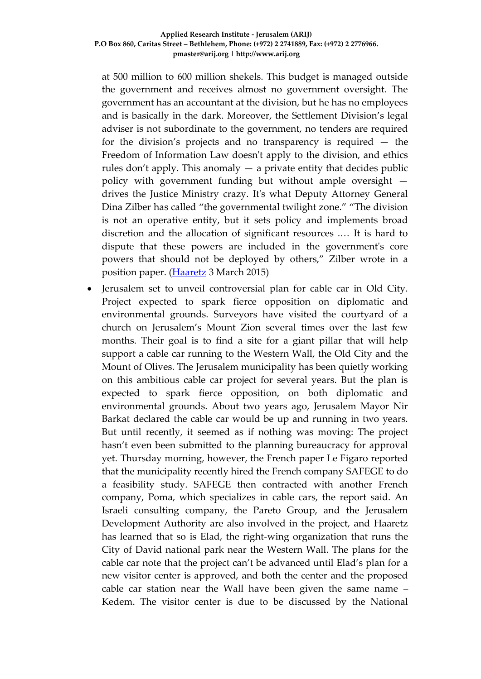at 500 million to 600 million shekels. This budget is managed outside the government and receives almost no government oversight. The government has an accountant at the division, but he has no employees and is basically in the dark. Moreover, the Settlement Division's legal adviser is not subordinate to the government, no tenders are required for the division's projects and no transparency is required — the Freedom of Information Law doesn't apply to the division, and ethics rules don't apply. This anomaly — a private entity that decides public policy with government funding but without ample oversight drives the Justice Ministry crazy. It's what Deputy Attorney General Dina Zilber has called "the governmental twilight zone." "The division is not an operative entity, but it sets policy and implements broad discretion and the allocation of significant resources .… It is hard to dispute that these powers are included in the government's core powers that should not be deployed by others," Zilber wrote in a position paper. [\(Haaretz](http://www.haaretz.com/business/.premium-1.645011) 3 March 2015)

 Jerusalem set to unveil controversial plan for cable car in Old City. Project expected to spark fierce opposition on diplomatic and environmental grounds. Surveyors have visited the courtyard of a church on Jerusalem's Mount Zion several times over the last few months. Their goal is to find a site for a giant pillar that will help support a cable car running to the Western Wall, the Old City and the Mount of Olives. The Jerusalem municipality has been quietly working on this ambitious cable car project for several years. But the plan is expected to spark fierce opposition, on both diplomatic and environmental grounds. About two years ago, Jerusalem Mayor Nir Barkat declared the cable car would be up and running in two years. But until recently, it seemed as if nothing was moving: The project hasn't even been submitted to the planning bureaucracy for approval yet. Thursday morning, however, the French paper Le Figaro reported that the municipality recently hired the French company SAFEGE to do a feasibility study. SAFEGE then contracted with another French company, Poma, which specializes in cable cars, the report said. An Israeli consulting company, the Pareto Group, and the Jerusalem Development Authority are also involved in the project, and Haaretz has learned that so is Elad, the right-wing organization that runs the City of David national park near the Western Wall. The plans for the cable car note that the project can't be advanced until Elad's plan for a new visitor center is approved, and both the center and the proposed cable car station near the Wall have been given the same name – Kedem. The visitor center is due to be discussed by the National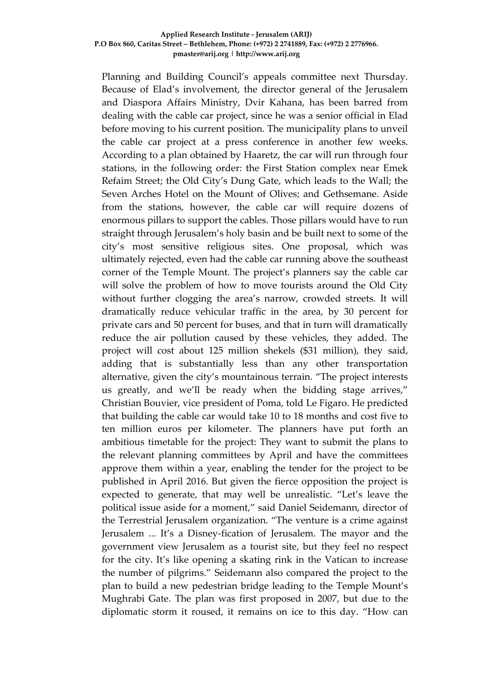Planning and Building Council's appeals committee next Thursday. Because of Elad's involvement, the director general of the Jerusalem and Diaspora Affairs Ministry, Dvir Kahana, has been barred from dealing with the cable car project, since he was a senior official in Elad before moving to his current position. The municipality plans to unveil the cable car project at a press conference in another few weeks. According to a plan obtained by Haaretz, the car will run through four stations, in the following order: the First Station complex near Emek Refaim Street; the Old City's Dung Gate, which leads to the Wall; the Seven Arches Hotel on the Mount of Olives; and Gethsemane. Aside from the stations, however, the cable car will require dozens of enormous pillars to support the cables. Those pillars would have to run straight through Jerusalem's holy basin and be built next to some of the city's most sensitive religious sites. One proposal, which was ultimately rejected, even had the cable car running above the southeast corner of the Temple Mount. The project's planners say the cable car will solve the problem of how to move tourists around the Old City without further clogging the area's narrow, crowded streets. It will dramatically reduce vehicular traffic in the area, by 30 percent for private cars and 50 percent for buses, and that in turn will dramatically reduce the air pollution caused by these vehicles, they added. The project will cost about 125 million shekels (\$31 million), they said, adding that is substantially less than any other transportation alternative, given the city's mountainous terrain. "The project interests us greatly, and we'll be ready when the bidding stage arrives," Christian Bouvier, vice president of Poma, told Le Figaro. He predicted that building the cable car would take 10 to 18 months and cost five to ten million euros per kilometer. The planners have put forth an ambitious timetable for the project: They want to submit the plans to the relevant planning committees by April and have the committees approve them within a year, enabling the tender for the project to be published in April 2016. But given the fierce opposition the project is expected to generate, that may well be unrealistic. "Let's leave the political issue aside for a moment," said Daniel Seidemann, director of the Terrestrial Jerusalem organization. "The venture is a crime against Jerusalem ... It's a Disney-fication of Jerusalem. The mayor and the government view Jerusalem as a tourist site, but they feel no respect for the city. It's like opening a skating rink in the Vatican to increase the number of pilgrims." Seidemann also compared the project to the plan to build a new pedestrian bridge leading to the Temple Mount's Mughrabi Gate. The plan was first proposed in 2007, but due to the diplomatic storm it roused, it remains on ice to this day. "How can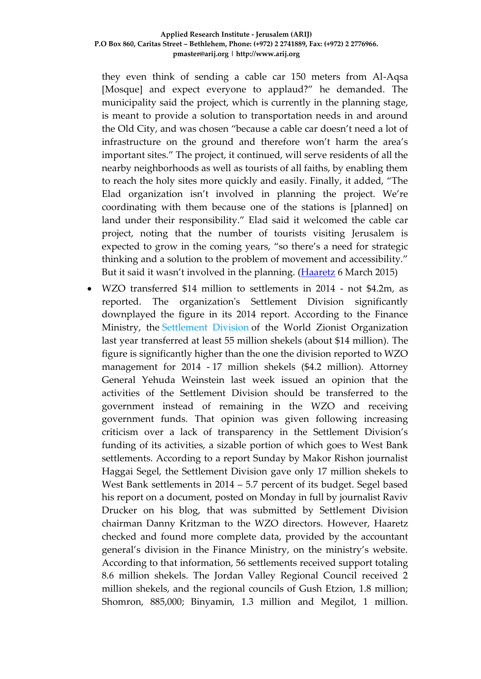they even think of sending a cable car 150 meters from Al-Aqsa [Mosque] and expect everyone to applaud?" he demanded. The municipality said the project, which is currently in the planning stage, is meant to provide a solution to transportation needs in and around the Old City, and was chosen "because a cable car doesn't need a lot of infrastructure on the ground and therefore won't harm the area's important sites." The project, it continued, will serve residents of all the nearby neighborhoods as well as tourists of all faiths, by enabling them to reach the holy sites more quickly and easily. Finally, it added, "The Elad organization isn't involved in planning the project. We're coordinating with them because one of the stations is [planned] on land under their responsibility." Elad said it welcomed the cable car project, noting that the number of tourists visiting Jerusalem is expected to grow in the coming years, "so there's a need for strategic thinking and a solution to the problem of movement and accessibility." But it said it wasn't involved in the planning. [\(Haaretz](http://www.haaretz.com/news/national/.premium-1.645565) 6 March 2015)

 WZO transferred \$14 million to settlements in 2014 - not \$4.2m, as reported. The organization's Settlement Division significantly downplayed the figure in its 2014 report. According to the Finance Ministry, the [Settlement Division](http://www.haaretz.com/business/.premium-1.645011) of the World Zionist Organization last year transferred at least 55 million shekels (about \$14 million). The figure is significantly higher than the one the division reported to WZO management for 2014 - 17 million shekels (\$4.2 million). Attorney General Yehuda Weinstein last week issued an opinion that the activities of the Settlement Division should be transferred to the government instead of remaining in the WZO and receiving government funds. That opinion was given following increasing criticism over a lack of transparency in the Settlement Division's funding of its activities, a sizable portion of which goes to West Bank settlements. According to a report Sunday by Makor Rishon journalist Haggai Segel, the Settlement Division gave only 17 million shekels to West Bank settlements in 2014 – 5.7 percent of its budget. Segel based his report on a document, posted on Monday in full by journalist Raviv Drucker on his blog, that was submitted by Settlement Division chairman Danny Kritzman to the WZO directors. However, Haaretz checked and found more complete data, provided by the accountant general's division in the Finance Ministry, on the ministry's website. According to that information, 56 settlements received support totaling 8.6 million shekels. The Jordan Valley Regional Council received 2 million shekels, and the regional councils of Gush Etzion, 1.8 million; Shomron, 885,000; Binyamin, 1.3 million and Megilot, 1 million.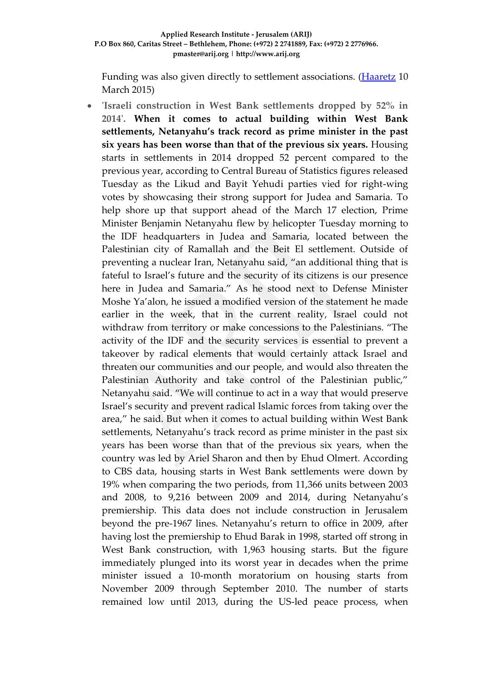Funding was also given directly to settlement associations. [\(Haaretz](http://www.haaretz.com/news/national/1.646112) 10 March 2015)

 **'Israeli construction in West Bank settlements dropped by 52% in 2014'. When it comes to actual building within West Bank settlements, Netanyahu's track record as prime minister in the past six years has been worse than that of the previous six years.** Housing starts in settlements in 2014 dropped 52 percent compared to the previous year, according to Central Bureau of Statistics figures released Tuesday as the Likud and Bayit Yehudi parties vied for right-wing votes by showcasing their strong support for Judea and Samaria. To help shore up that support ahead of the March 17 election, Prime Minister Benjamin Netanyahu flew by helicopter Tuesday morning to the IDF headquarters in Judea and Samaria, located between the Palestinian city of Ramallah and the Beit El settlement. Outside of preventing a nuclear Iran, Netanyahu said, "an additional thing that is fateful to Israel's future and the security of its citizens is our presence here in Judea and Samaria." As he stood next to Defense Minister Moshe Ya'alon, he issued a modified version of the statement he made earlier in the week, that in the current reality, Israel could not withdraw from territory or make concessions to the Palestinians. "The activity of the IDF and the security services is essential to prevent a takeover by radical elements that would certainly attack Israel and threaten our communities and our people, and would also threaten the Palestinian Authority and take control of the Palestinian public," Netanyahu said. "We will continue to act in a way that would preserve Israel's security and prevent radical Islamic forces from taking over the area," he said. But when it comes to actual building within West Bank settlements, Netanyahu's track record as prime minister in the past six years has been worse than that of the previous six years, when the country was led by Ariel Sharon and then by Ehud Olmert. According to CBS data, housing starts in West Bank settlements were down by 19% when comparing the two periods, from 11,366 units between 2003 and 2008, to 9,216 between 2009 and 2014, during Netanyahu's premiership. This data does not include construction in Jerusalem beyond the pre-1967 lines. Netanyahu's return to office in 2009, after having lost the premiership to Ehud Barak in 1998, started off strong in West Bank construction, with 1,963 housing starts. But the figure immediately plunged into its worst year in decades when the prime minister issued a 10-month moratorium on housing starts from November 2009 through September 2010. The number of starts remained low until 2013, during the US-led peace process, when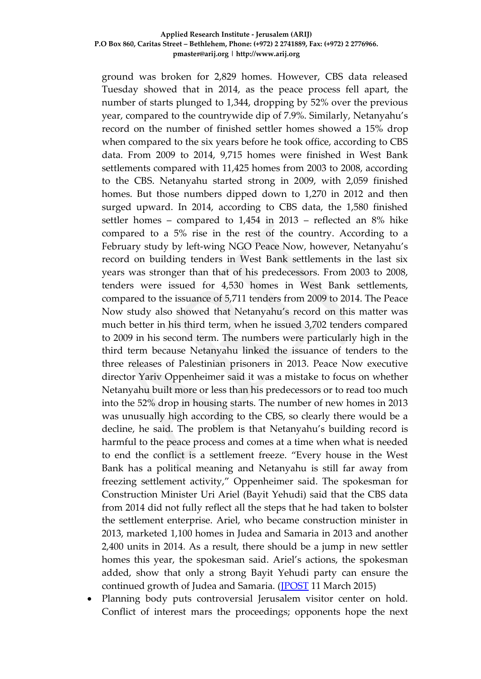ground was broken for 2,829 homes. However, CBS data released Tuesday showed that in 2014, as the peace process fell apart, the number of starts plunged to 1,344, dropping by 52% over the previous year, compared to the countrywide dip of 7.9%. Similarly, Netanyahu's record on the number of finished settler homes showed a 15% drop when compared to the six years before he took office, according to CBS data. From 2009 to 2014, 9,715 homes were finished in West Bank settlements compared with 11,425 homes from 2003 to 2008, according to the CBS. Netanyahu started strong in 2009, with 2,059 finished homes. But those numbers dipped down to 1,270 in 2012 and then surged upward. In 2014, according to CBS data, the 1,580 finished settler homes – compared to 1,454 in 2013 – reflected an 8% hike compared to a 5% rise in the rest of the country. According to a February study by left-wing NGO Peace Now, however, Netanyahu's record on building tenders in West Bank settlements in the last six years was stronger than that of his predecessors. From 2003 to 2008, tenders were issued for 4,530 homes in West Bank settlements, compared to the issuance of 5,711 tenders from 2009 to 2014. The Peace Now study also showed that Netanyahu's record on this matter was much better in his third term, when he issued 3,702 tenders compared to 2009 in his second term. The numbers were particularly high in the third term because Netanyahu linked the issuance of tenders to the three releases of Palestinian prisoners in 2013. Peace Now executive director Yariv Oppenheimer said it was a mistake to focus on whether Netanyahu built more or less than his predecessors or to read too much into the 52% drop in housing starts. The number of new homes in 2013 was unusually high according to the CBS, so clearly there would be a decline, he said. The problem is that Netanyahu's building record is harmful to the peace process and comes at a time when what is needed to end the conflict is a settlement freeze. "Every house in the West Bank has a political meaning and Netanyahu is still far away from freezing settlement activity," Oppenheimer said. The spokesman for Construction Minister Uri Ariel (Bayit Yehudi) said that the CBS data from 2014 did not fully reflect all the steps that he had taken to bolster the settlement enterprise. Ariel, who became construction minister in 2013, marketed 1,100 homes in Judea and Samaria in 2013 and another 2,400 units in 2014. As a result, there should be a jump in new settler homes this year, the spokesman said. Ariel's actions, the spokesman added, show that only a strong Bayit Yehudi party can ensure the continued growth of Judea and Samaria. [\(JPOST](http://www.jpost.com/Israel-News/Politics-And-Diplomacy/Israeli-construction-in-West-Bank-settlements-dropped-by-52-percent-in-2014-393553) 11 March 2015)

 Planning body puts controversial Jerusalem visitor center on hold. Conflict of interest mars the proceedings; opponents hope the next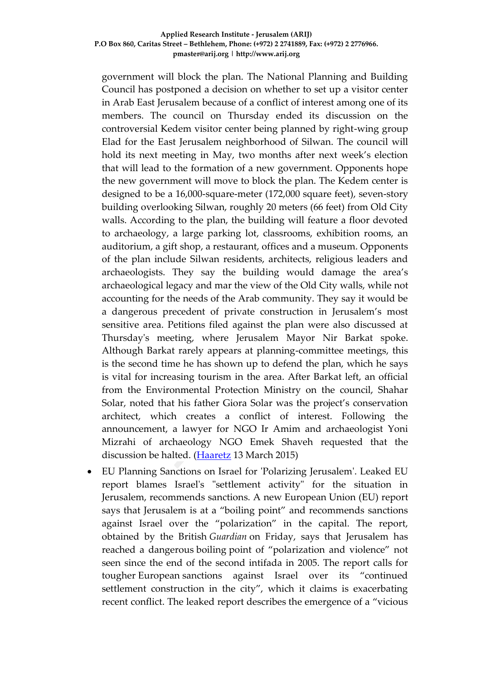government will block the plan. The National Planning and Building Council has postponed a decision on whether to set up a visitor center in Arab East Jerusalem because of a conflict of interest among one of its members. The council on Thursday ended its discussion on the controversial Kedem visitor center being planned by right-wing group Elad for the East Jerusalem neighborhood of Silwan. The council will hold its next meeting in May, two months after next week's election that will lead to the formation of a new government. Opponents hope the new government will move to block the plan. The Kedem center is designed to be a 16,000-square-meter (172,000 square feet), seven-story building overlooking Silwan, roughly 20 meters (66 feet) from Old City walls. According to the plan, the building will feature a floor devoted to archaeology, a large parking lot, classrooms, exhibition rooms, an auditorium, a gift shop, a restaurant, offices and a museum. Opponents of the plan include Silwan residents, architects, religious leaders and archaeologists. They say the building would damage the area's archaeological legacy and mar the view of the Old City walls, while not accounting for the needs of the Arab community. They say it would be a dangerous precedent of private construction in Jerusalem's most sensitive area. Petitions filed against the plan were also discussed at Thursday's meeting, where Jerusalem Mayor Nir Barkat spoke. Although Barkat rarely appears at planning-committee meetings, this is the second time he has shown up to defend the plan, which he says is vital for increasing tourism in the area. After Barkat left, an official from the Environmental Protection Ministry on the council, Shahar Solar, noted that his father Giora Solar was the project's conservation architect, which creates a conflict of interest. Following the announcement, a lawyer for NGO Ir Amim and archaeologist Yoni Mizrahi of archaeology NGO Emek Shaveh requested that the discussion be halted. [\(Haaretz](http://www.haaretz.com/news/national/.premium-1.646706) 13 March 2015)

 EU Planning Sanctions on Israel for 'Polarizing Jerusalem'. Leaked EU report blames Israel's "settlement activity" for the situation in Jerusalem, recommends sanctions. A new European Union (EU) report says that Jerusalem is at a "boiling point" and recommends sanctions against Israel over the "polarization" in the capital. The report, obtained by the British *Guardian* on Friday, says that Jerusalem has reached a dangerous boiling point of "polarization and violence" not seen since the end of the second intifada in 2005. The report calls for tougher European sanctions against Israel over its "continued settlement construction in the city", which it claims is exacerbating recent conflict. The leaked report describes the emergence of a "vicious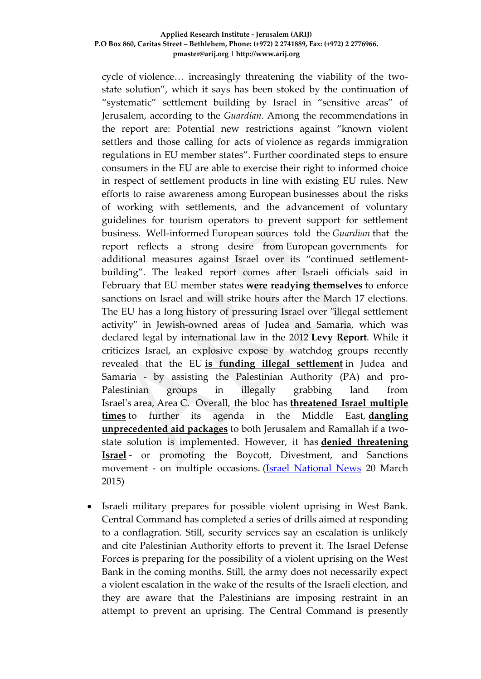cycle of violence… increasingly threatening the viability of the twostate solution", which it says has been stoked by the continuation of "systematic" settlement building by Israel in "sensitive areas" of Jerusalem, according to the *Guardian*. Among the recommendations in the report are: Potential new restrictions against "known violent settlers and those calling for acts of violence as regards immigration regulations in EU member states". Further coordinated steps to ensure consumers in the EU are able to exercise their right to informed choice in respect of settlement products in line with existing EU rules. New efforts to raise awareness among European businesses about the risks of working with settlements, and the advancement of voluntary guidelines for tourism operators to prevent support for settlement business. Well-informed European sources told the *Guardian* that the report reflects a strong desire from European governments for additional measures against Israel over its "continued settlementbuilding". The leaked report comes after Israeli officials said in February that EU member states **[were readying themselves](http://www.israelnationalnews.com/News/News.aspx/191160)** to enforce sanctions on Israel and will strike hours after the March 17 elections. The EU has a long history of pressuring Israel over "illegal settlement activity" in Jewish-owned areas of Judea and Samaria, which was declared legal by international law in the 2012 **[Levy Report](http://www.israelnationalnews.com/News/News.aspx/157709)**. While it criticizes Israel, an explosive expose by watchdog groups recently revealed that the EU **[is funding illegal settlement](http://www.israelnationalnews.com/News/News.aspx/191036)** in Judea and Samaria - by assisting the Palestinian Authority (PA) and pro-Palestinian groups in illegally grabbing land from Israel's area, Area C. Overall, the bloc has **[threatened Israel multiple](http://www.israelnationalnews.com/News/News.aspx/177055)  [times](http://www.israelnationalnews.com/News/News.aspx/177055)** to further its agenda in the Middle East, **[dangling](http://www.israelnationalnews.com/News/News.aspx/175209)  [unprecedented aid packages](http://www.israelnationalnews.com/News/News.aspx/175209)** to both Jerusalem and Ramallah if a twostate solution is implemented. However, it has **[denied threatening](http://www.israelnationalnews.com/News/News.aspx/180893)  [Israel](http://www.israelnationalnews.com/News/News.aspx/180893)** - or promoting the Boycott, Divestment, and Sanctions movement - on multiple occasions. [\(Israel National News](http://www.israelnationalnews.com/News/News.aspx/192941#.VQ0Rdo6Uepc) 20 March 2015)

 Israeli military prepares for possible violent uprising in West Bank. Central Command has completed a series of drills aimed at responding to a conflagration. Still, security services say an escalation is unlikely and cite Palestinian Authority efforts to prevent it. The Israel Defense Forces is preparing for the possibility of a violent uprising on the West Bank in the coming months. Still, the army does not necessarily expect a violent escalation in the wake of the results of the Israeli election, and they are aware that the Palestinians are imposing restraint in an attempt to prevent an uprising. The Central Command is presently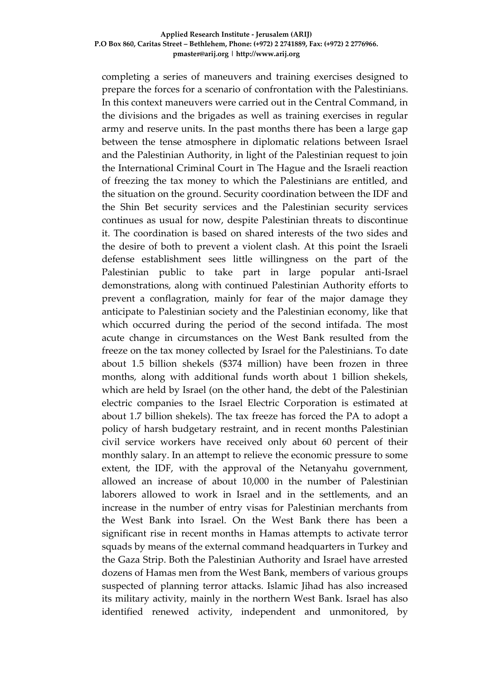completing a series of maneuvers and training exercises designed to prepare the forces for a scenario of confrontation with the Palestinians. In this context maneuvers were carried out in the Central Command, in the divisions and the brigades as well as training exercises in regular army and reserve units. In the past months there has been a large gap between the tense atmosphere in diplomatic relations between Israel and the Palestinian Authority, in light of the Palestinian request to join the International Criminal Court in The Hague and the Israeli reaction of freezing the tax money to which the Palestinians are entitled, and the situation on the ground. Security coordination between the IDF and the Shin Bet security services and the Palestinian security services continues as usual for now, despite Palestinian threats to discontinue it. The coordination is based on shared interests of the two sides and the desire of both to prevent a violent clash. At this point the Israeli defense establishment sees little willingness on the part of the Palestinian public to take part in large popular anti-Israel demonstrations, along with continued Palestinian Authority efforts to prevent a conflagration, mainly for fear of the major damage they anticipate to Palestinian society and the Palestinian economy, like that which occurred during the period of the second intifada. The most acute change in circumstances on the West Bank resulted from the freeze on the tax money collected by Israel for the Palestinians. To date about 1.5 billion shekels (\$374 million) have been frozen in three months, along with additional funds worth about 1 billion shekels, which are held by Israel (on the other hand, the debt of the Palestinian electric companies to the Israel Electric Corporation is estimated at about 1.7 billion shekels). The tax freeze has forced the PA to adopt a policy of harsh budgetary restraint, and in recent months Palestinian civil service workers have received only about 60 percent of their monthly salary. In an attempt to relieve the economic pressure to some extent, the IDF, with the approval of the Netanyahu government, allowed an increase of about 10,000 in the number of Palestinian laborers allowed to work in Israel and in the settlements, and an increase in the number of entry visas for Palestinian merchants from the West Bank into Israel. On the West Bank there has been a significant rise in recent months in Hamas attempts to activate terror squads by means of the external command headquarters in Turkey and the Gaza Strip. Both the Palestinian Authority and Israel have arrested dozens of Hamas men from the West Bank, members of various groups suspected of planning terror attacks. Islamic Jihad has also increased its military activity, mainly in the northern West Bank. Israel has also identified renewed activity, independent and unmonitored, by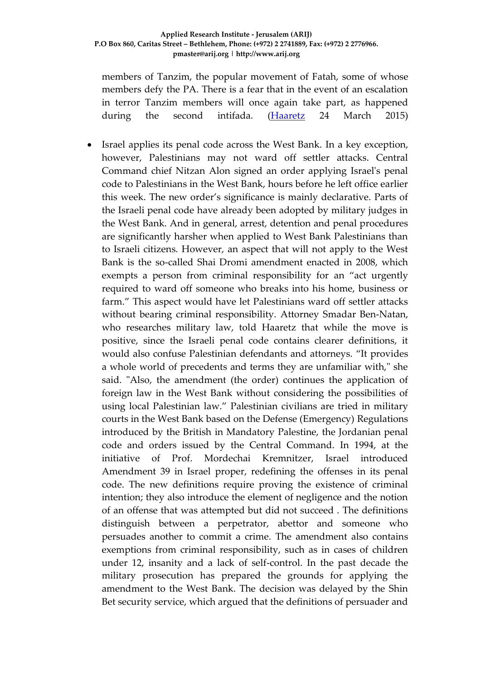members of Tanzim, the popular movement of Fatah, some of whose members defy the PA. There is a fear that in the event of an escalation in terror Tanzim members will once again take part, as happened during the second intifada. [\(Haaretz](http://www.haaretz.com/news/diplomacy-defense/.premium-1.648419) 24 March 2015)

 Israel applies its penal code across the West Bank. In a key exception, however, Palestinians may not ward off settler attacks. Central Command chief Nitzan Alon signed an order applying Israel's penal code to Palestinians in the West Bank, hours before he left office earlier this week. The new order's significance is mainly declarative. Parts of the Israeli penal code have already been adopted by military judges in the West Bank. And in general, arrest, detention and penal procedures are significantly harsher when applied to West Bank Palestinians than to Israeli citizens. However, an aspect that will not apply to the West Bank is the so-called Shai Dromi amendment enacted in 2008, which exempts a person from criminal responsibility for an "act urgently required to ward off someone who breaks into his home, business or farm." This aspect would have let Palestinians ward off settler attacks without bearing criminal responsibility. Attorney Smadar Ben-Natan, who researches military law, told Haaretz that while the move is positive, since the Israeli penal code contains clearer definitions, it would also confuse Palestinian defendants and attorneys. "It provides a whole world of precedents and terms they are unfamiliar with," she said. "Also, the amendment (the order) continues the application of foreign law in the West Bank without considering the possibilities of using local Palestinian law." Palestinian civilians are tried in military courts in the West Bank based on the Defense (Emergency) Regulations introduced by the British in Mandatory Palestine, the Jordanian penal code and orders issued by the Central Command. In 1994, at the initiative of Prof. Mordechai Kremnitzer, Israel introduced Amendment 39 in Israel proper, redefining the offenses in its penal code. The new definitions require proving the existence of criminal intention; they also introduce the element of negligence and the notion of an offense that was attempted but did not succeed . The definitions distinguish between a perpetrator, abettor and someone who persuades another to commit a crime. The amendment also contains exemptions from criminal responsibility, such as in cases of children under 12, insanity and a lack of self-control. In the past decade the military prosecution has prepared the grounds for applying the amendment to the West Bank. The decision was delayed by the Shin Bet security service, which argued that the definitions of persuader and